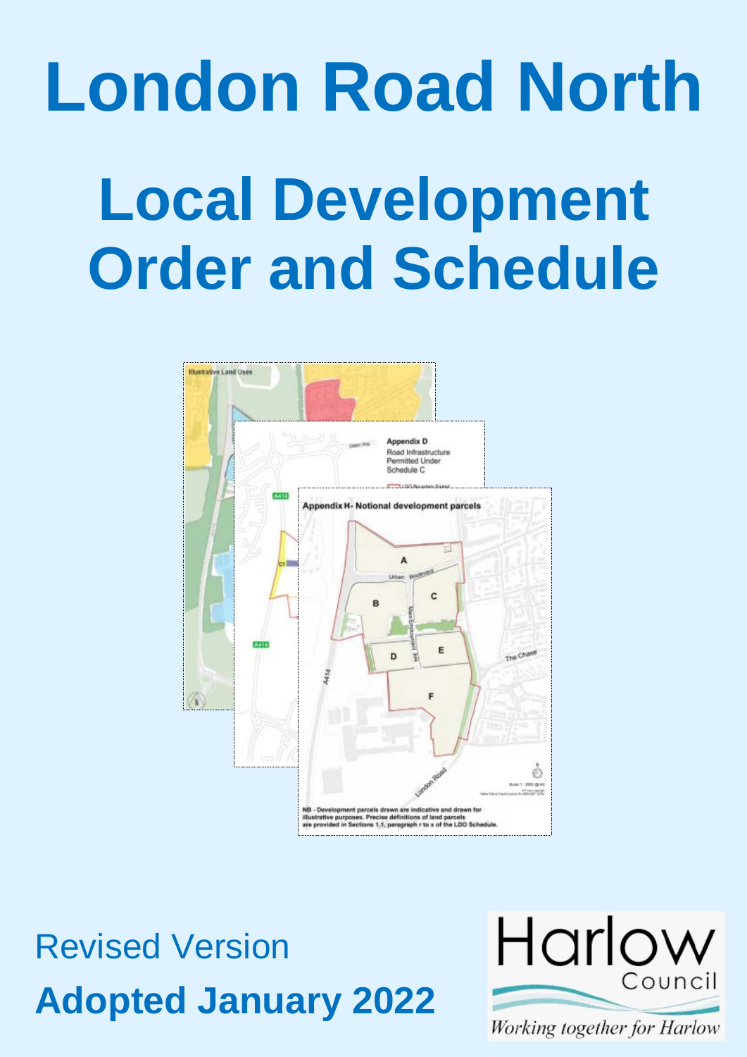# **London Road North Local Development Order and Schedule**



Revised Version **Adopted January 2022**



Working together for Harlow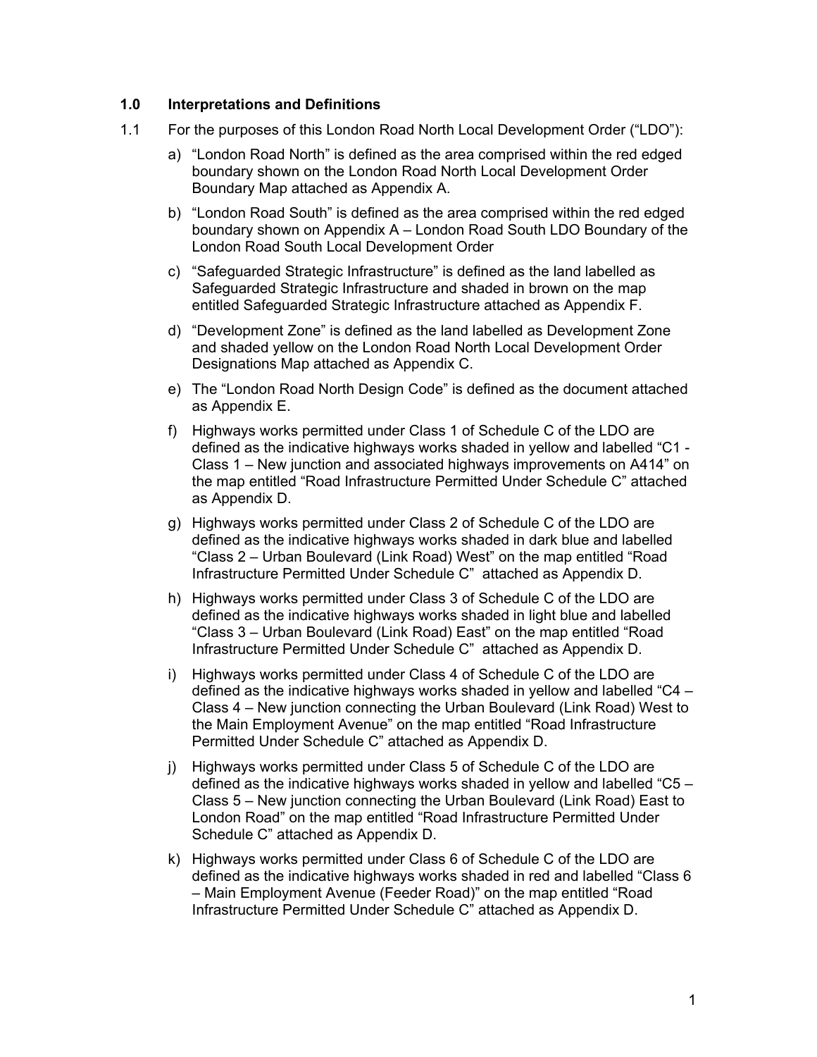### **1.0 Interpretations and Definitions**

- 1.1 For the purposes of this London Road North Local Development Order ("LDO"):
	- a) "London Road North" is defined as the area comprised within the red edged boundary shown on the London Road North Local Development Order Boundary Map attached as Appendix A.
	- b) "London Road South" is defined as the area comprised within the red edged boundary shown on Appendix A – London Road South LDO Boundary of the London Road South Local Development Order
	- c) "Safeguarded Strategic Infrastructure" is defined as the land labelled as Safeguarded Strategic Infrastructure and shaded in brown on the map entitled Safeguarded Strategic Infrastructure attached as Appendix F.
	- d) "Development Zone" is defined as the land labelled as Development Zone and shaded yellow on the London Road North Local Development Order Designations Map attached as Appendix C.
	- e) The "London Road North Design Code" is defined as the document attached as Appendix E.
	- f) Highways works permitted under Class 1 of Schedule C of the LDO are defined as the indicative highways works shaded in yellow and labelled "C1 - Class 1 – New junction and associated highways improvements on A414" on the map entitled "Road Infrastructure Permitted Under Schedule C" attached as Appendix D.
	- g) Highways works permitted under Class 2 of Schedule C of the LDO are defined as the indicative highways works shaded in dark blue and labelled "Class 2 – Urban Boulevard (Link Road) West" on the map entitled "Road Infrastructure Permitted Under Schedule C" attached as Appendix D.
	- h) Highways works permitted under Class 3 of Schedule C of the LDO are defined as the indicative highways works shaded in light blue and labelled "Class 3 – Urban Boulevard (Link Road) East" on the map entitled "Road Infrastructure Permitted Under Schedule C" attached as Appendix D.
	- i) Highways works permitted under Class 4 of Schedule C of the LDO are defined as the indicative highways works shaded in yellow and labelled "C4 – Class 4 – New junction connecting the Urban Boulevard (Link Road) West to the Main Employment Avenue" on the map entitled "Road Infrastructure Permitted Under Schedule C" attached as Appendix D.
	- j) Highways works permitted under Class 5 of Schedule C of the LDO are defined as the indicative highways works shaded in yellow and labelled "C5 – Class 5 – New junction connecting the Urban Boulevard (Link Road) East to London Road" on the map entitled "Road Infrastructure Permitted Under Schedule C" attached as Appendix D.
	- k) Highways works permitted under Class 6 of Schedule C of the LDO are defined as the indicative highways works shaded in red and labelled "Class 6 – Main Employment Avenue (Feeder Road)" on the map entitled "Road Infrastructure Permitted Under Schedule C" attached as Appendix D.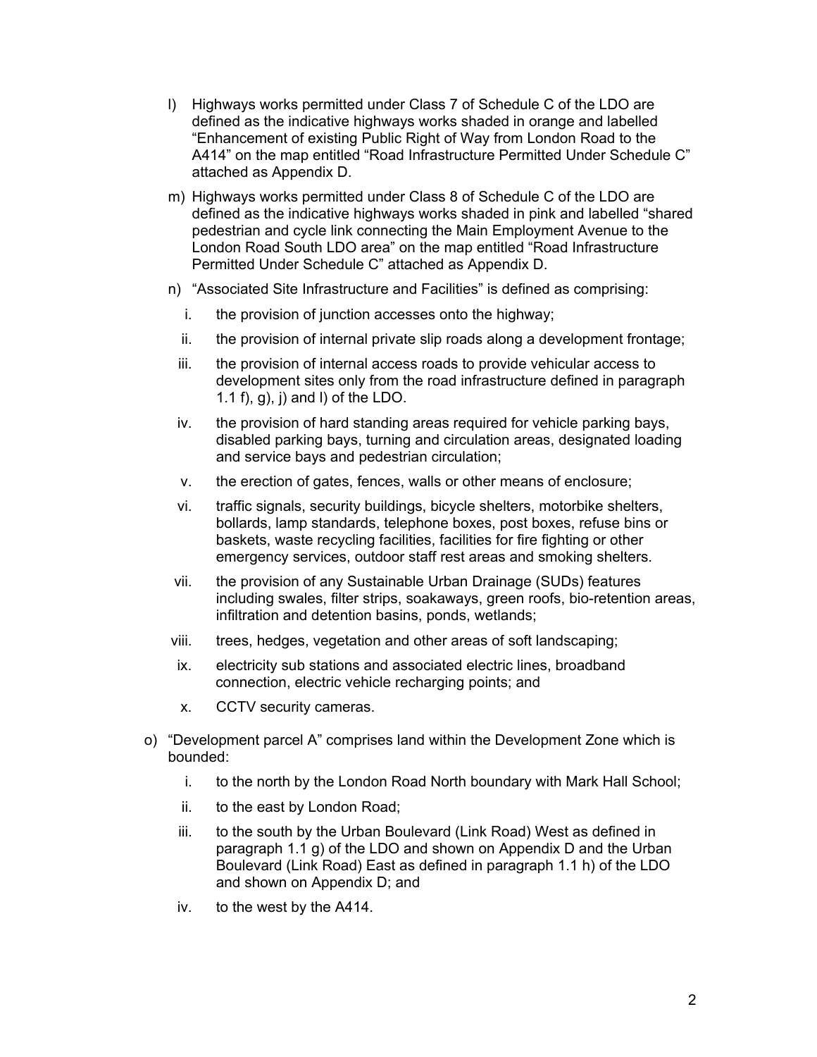- l) Highways works permitted under Class 7 of Schedule C of the LDO are defined as the indicative highways works shaded in orange and labelled "Enhancement of existing Public Right of Way from London Road to the A414" on the map entitled "Road Infrastructure Permitted Under Schedule C" attached as Appendix D.
- m) Highways works permitted under Class 8 of Schedule C of the LDO are defined as the indicative highways works shaded in pink and labelled "shared pedestrian and cycle link connecting the Main Employment Avenue to the London Road South LDO area" on the map entitled "Road Infrastructure Permitted Under Schedule C" attached as Appendix D.
- n) "Associated Site Infrastructure and Facilities" is defined as comprising:
	- i. the provision of junction accesses onto the highway;
	- ii. the provision of internal private slip roads along a development frontage;
	- iii. the provision of internal access roads to provide vehicular access to development sites only from the road infrastructure defined in paragraph 1.1 f), g),  $i$ ) and  $l$ ) of the LDO.
	- iv. the provision of hard standing areas required for vehicle parking bays, disabled parking bays, turning and circulation areas, designated loading and service bays and pedestrian circulation;
	- v. the erection of gates, fences, walls or other means of enclosure;
	- vi. traffic signals, security buildings, bicycle shelters, motorbike shelters, bollards, lamp standards, telephone boxes, post boxes, refuse bins or baskets, waste recycling facilities, facilities for fire fighting or other emergency services, outdoor staff rest areas and smoking shelters.
- vii. the provision of any Sustainable Urban Drainage (SUDs) features including swales, filter strips, soakaways, green roofs, bio-retention areas, infiltration and detention basins, ponds, wetlands;
- viii. trees, hedges, vegetation and other areas of soft landscaping;
- ix. electricity sub stations and associated electric lines, broadband connection, electric vehicle recharging points; and
- x. CCTV security cameras.
- o) "Development parcel A" comprises land within the Development Zone which is bounded:
	- i. to the north by the London Road North boundary with Mark Hall School;
	- ii. to the east by London Road;
	- iii. to the south by the Urban Boulevard (Link Road) West as defined in paragraph 1.1 g) of the LDO and shown on Appendix D and the Urban Boulevard (Link Road) East as defined in paragraph 1.1 h) of the LDO and shown on Appendix D; and
	- iv. to the west by the A414.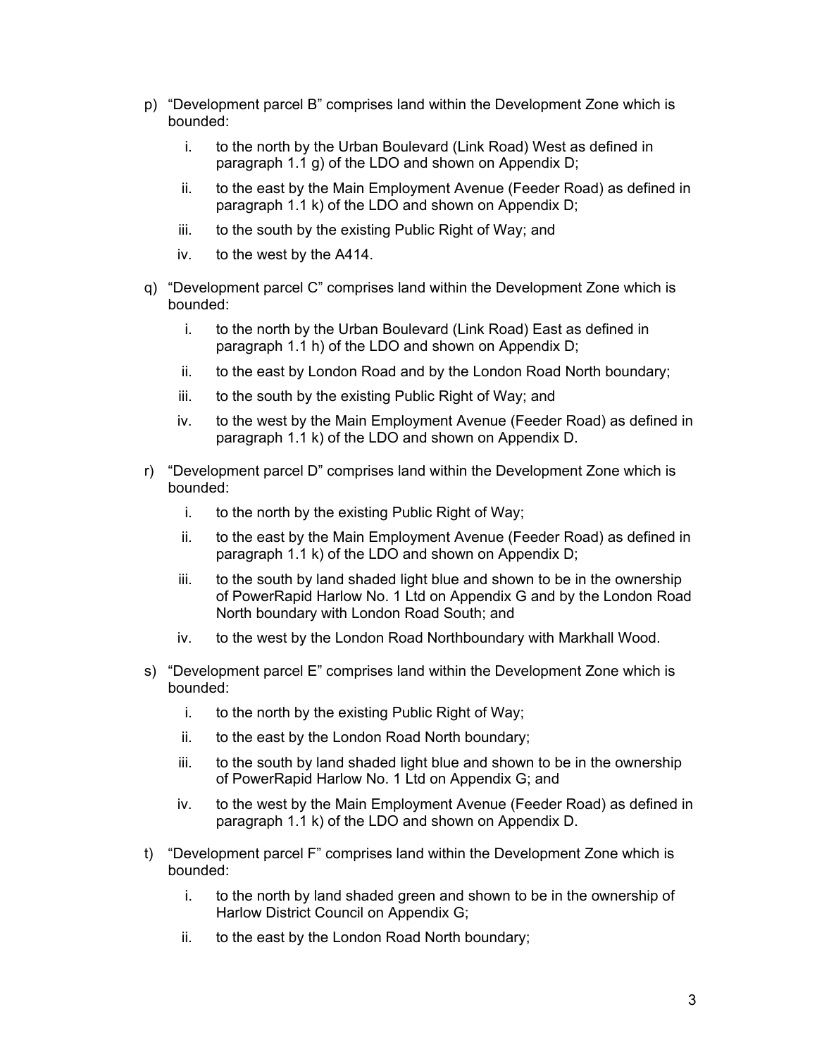- p) "Development parcel B" comprises land within the Development Zone which is bounded:
	- i. to the north by the Urban Boulevard (Link Road) West as defined in paragraph 1.1 g) of the LDO and shown on Appendix D;
	- ii. to the east by the Main Employment Avenue (Feeder Road) as defined in paragraph 1.1 k) of the LDO and shown on Appendix D;
	- iii. to the south by the existing Public Right of Way; and
	- iv. to the west by the A414.
- q) "Development parcel C" comprises land within the Development Zone which is bounded:
	- i. to the north by the Urban Boulevard (Link Road) East as defined in paragraph 1.1 h) of the LDO and shown on Appendix D;
	- ii. to the east by London Road and by the London Road North boundary;
	- iii. to the south by the existing Public Right of Way; and
	- iv. to the west by the Main Employment Avenue (Feeder Road) as defined in paragraph 1.1 k) of the LDO and shown on Appendix D.
- r) "Development parcel D" comprises land within the Development Zone which is bounded:
	- i. to the north by the existing Public Right of Way;
	- ii. to the east by the Main Employment Avenue (Feeder Road) as defined in paragraph 1.1 k) of the LDO and shown on Appendix D;
	- iii. to the south by land shaded light blue and shown to be in the ownership of PowerRapid Harlow No. 1 Ltd on Appendix G and by the London Road North boundary with London Road South; and
	- iv. to the west by the London Road Northboundary with Markhall Wood.
- s) "Development parcel E" comprises land within the Development Zone which is bounded:
	- i. to the north by the existing Public Right of Way;
	- ii. to the east by the London Road North boundary;
	- iii. to the south by land shaded light blue and shown to be in the ownership of PowerRapid Harlow No. 1 Ltd on Appendix G; and
	- iv. to the west by the Main Employment Avenue (Feeder Road) as defined in paragraph 1.1 k) of the LDO and shown on Appendix D.
- t) "Development parcel F" comprises land within the Development Zone which is bounded:
	- i. to the north by land shaded green and shown to be in the ownership of Harlow District Council on Appendix G;
	- ii. to the east by the London Road North boundary;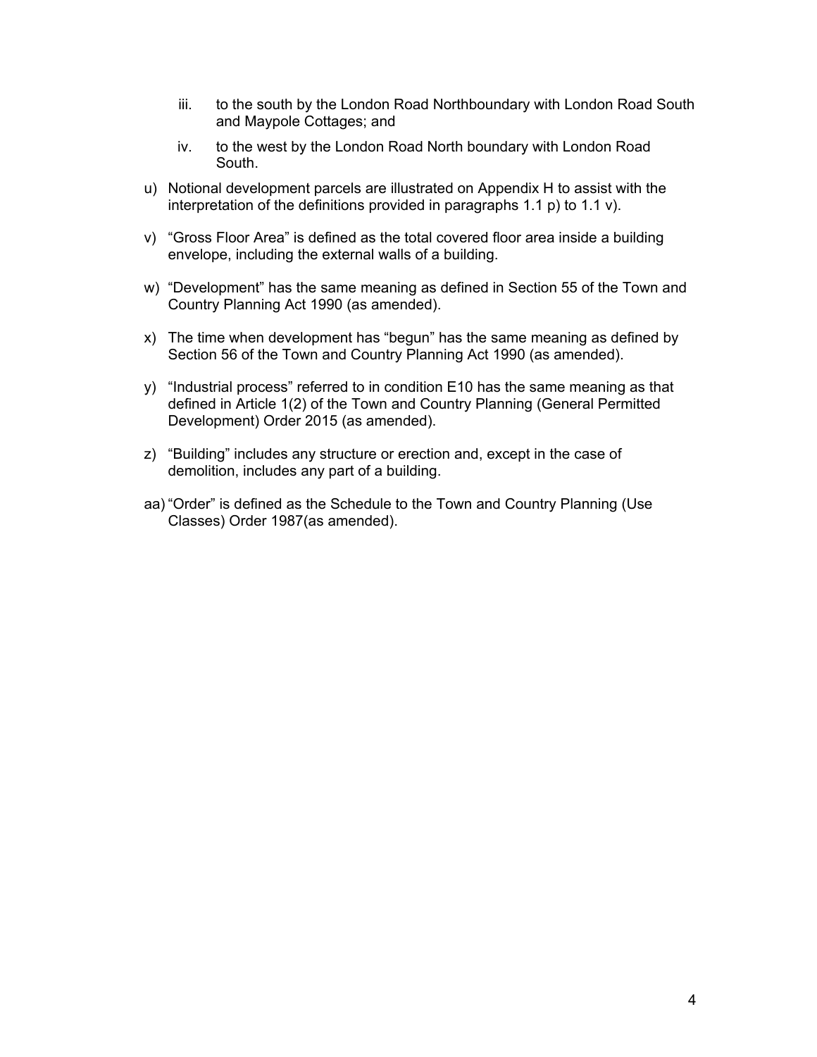- iii. to the south by the London Road Northboundary with London Road South and Maypole Cottages; and
- iv. to the west by the London Road North boundary with London Road South.
- u) Notional development parcels are illustrated on Appendix H to assist with the interpretation of the definitions provided in paragraphs 1.1 p) to 1.1 v).
- v) "Gross Floor Area" is defined as the total covered floor area inside a building envelope, including the external walls of a building.
- w) "Development" has the same meaning as defined in Section 55 of the Town and Country Planning Act 1990 (as amended).
- x) The time when development has "begun" has the same meaning as defined by Section 56 of the Town and Country Planning Act 1990 (as amended).
- y) "Industrial process" referred to in condition E10 has the same meaning as that defined in Article 1(2) of the Town and Country Planning (General Permitted Development) Order 2015 (as amended).
- z) "Building" includes any structure or erection and, except in the case of demolition, includes any part of a building.
- aa) "Order" is defined as the Schedule to the Town and Country Planning (Use Classes) Order 1987(as amended).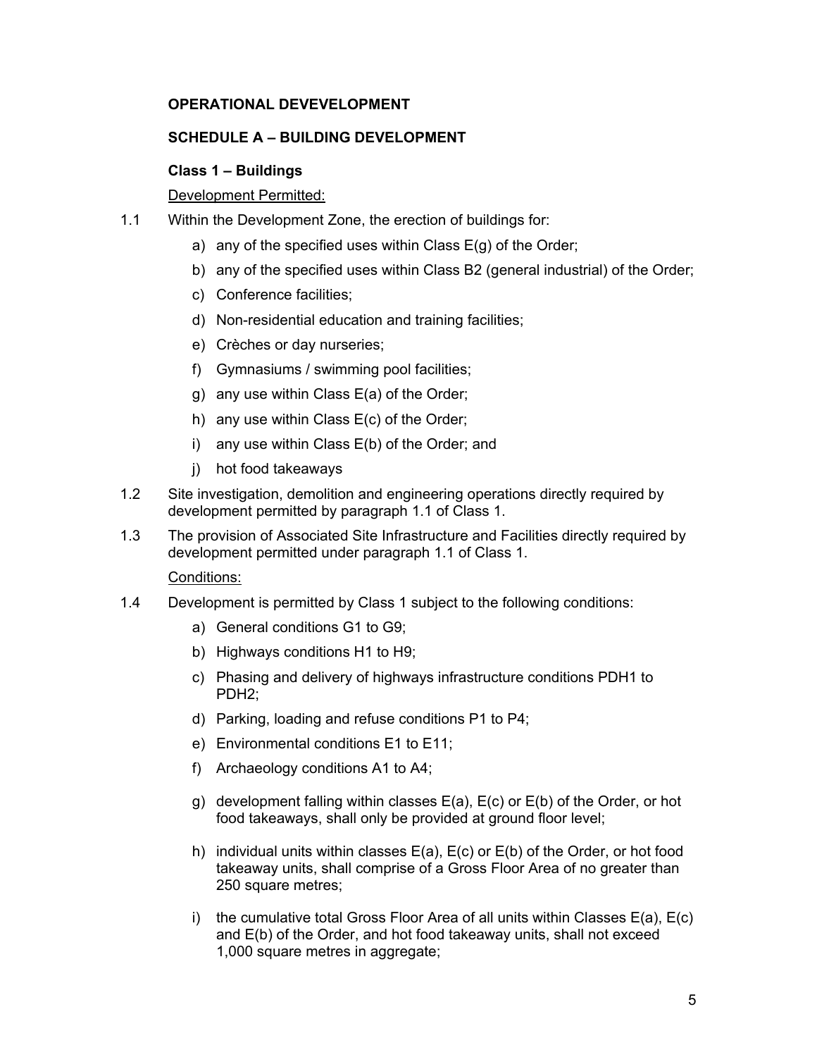# **OPERATIONAL DEVEVELOPMENT**

### **SCHEDULE A – BUILDING DEVELOPMENT**

# **Class 1 – Buildings**

# Development Permitted:

- 1.1 Within the Development Zone, the erection of buildings for:
	- a) any of the specified uses within Class  $E(g)$  of the Order;
	- b) any of the specified uses within Class B2 (general industrial) of the Order;
	- c) Conference facilities;
	- d) Non-residential education and training facilities;
	- e) Crèches or day nurseries;
	- f) Gymnasiums / swimming pool facilities;
	- g) any use within Class E(a) of the Order;
	- h) any use within Class E(c) of the Order;
	- i) any use within Class E(b) of the Order; and
	- j) hot food takeaways
- 1.2 Site investigation, demolition and engineering operations directly required by development permitted by paragraph 1.1 of Class 1.
- 1.3 The provision of Associated Site Infrastructure and Facilities directly required by development permitted under paragraph 1.1 of Class 1.

- 1.4 Development is permitted by Class 1 subject to the following conditions:
	- a) General conditions G1 to G9;
	- b) Highways conditions H1 to H9;
	- c) Phasing and delivery of highways infrastructure conditions PDH1 to PDH2;
	- d) Parking, loading and refuse conditions P1 to P4;
	- e) Environmental conditions E1 to E11;
	- f) Archaeology conditions A1 to A4;
	- g) development falling within classes E(a), E(c) or E(b) of the Order, or hot food takeaways, shall only be provided at ground floor level;
	- h) individual units within classes E(a), E(c) or E(b) of the Order, or hot food takeaway units, shall comprise of a Gross Floor Area of no greater than 250 square metres;
	- i) the cumulative total Gross Floor Area of all units within Classes E(a), E(c) and E(b) of the Order, and hot food takeaway units, shall not exceed 1,000 square metres in aggregate;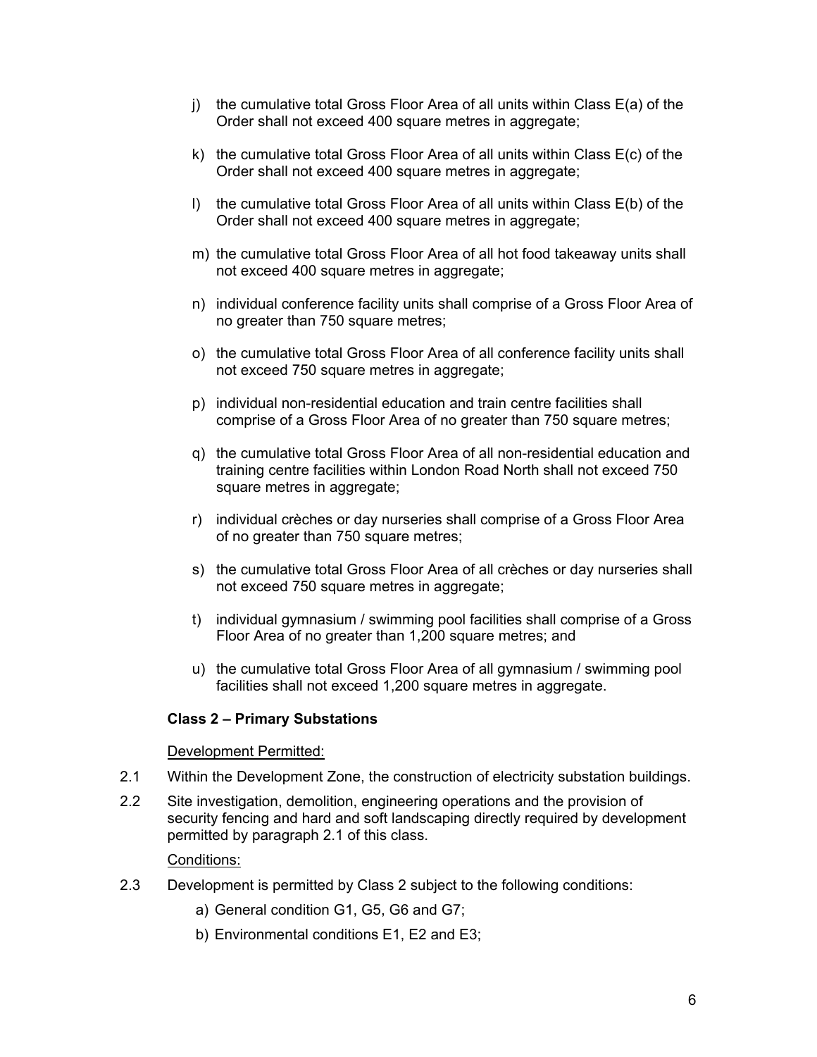- j) the cumulative total Gross Floor Area of all units within Class E(a) of the Order shall not exceed 400 square metres in aggregate;
- k) the cumulative total Gross Floor Area of all units within Class E(c) of the Order shall not exceed 400 square metres in aggregate;
- l) the cumulative total Gross Floor Area of all units within Class E(b) of the Order shall not exceed 400 square metres in aggregate;
- m) the cumulative total Gross Floor Area of all hot food takeaway units shall not exceed 400 square metres in aggregate;
- n) individual conference facility units shall comprise of a Gross Floor Area of no greater than 750 square metres;
- o) the cumulative total Gross Floor Area of all conference facility units shall not exceed 750 square metres in aggregate;
- p) individual non-residential education and train centre facilities shall comprise of a Gross Floor Area of no greater than 750 square metres;
- q) the cumulative total Gross Floor Area of all non-residential education and training centre facilities within London Road North shall not exceed 750 square metres in aggregate;
- r) individual crèches or day nurseries shall comprise of a Gross Floor Area of no greater than 750 square metres;
- s) the cumulative total Gross Floor Area of all crèches or day nurseries shall not exceed 750 square metres in aggregate;
- t) individual gymnasium / swimming pool facilities shall comprise of a Gross Floor Area of no greater than 1,200 square metres; and
- u) the cumulative total Gross Floor Area of all gymnasium / swimming pool facilities shall not exceed 1,200 square metres in aggregate.

### **Class 2 – Primary Substations**

### Development Permitted:

- 2.1 Within the Development Zone, the construction of electricity substation buildings.
- 2.2 Site investigation, demolition, engineering operations and the provision of security fencing and hard and soft landscaping directly required by development permitted by paragraph 2.1 of this class.

- 2.3 Development is permitted by Class 2 subject to the following conditions:
	- a) General condition G1, G5, G6 and G7;
	- b) Environmental conditions E1, E2 and E3;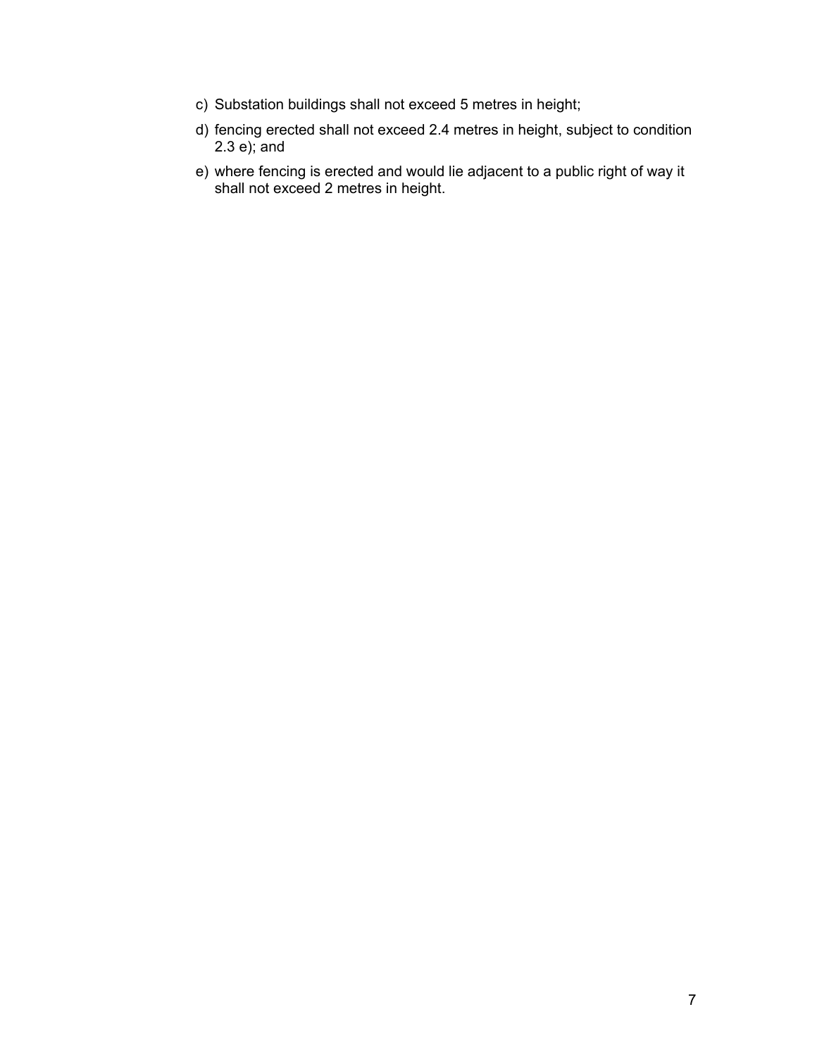- c) Substation buildings shall not exceed 5 metres in height;
- d) fencing erected shall not exceed 2.4 metres in height, subject to condition 2.3 e); and
- e) where fencing is erected and would lie adjacent to a public right of way it shall not exceed 2 metres in height.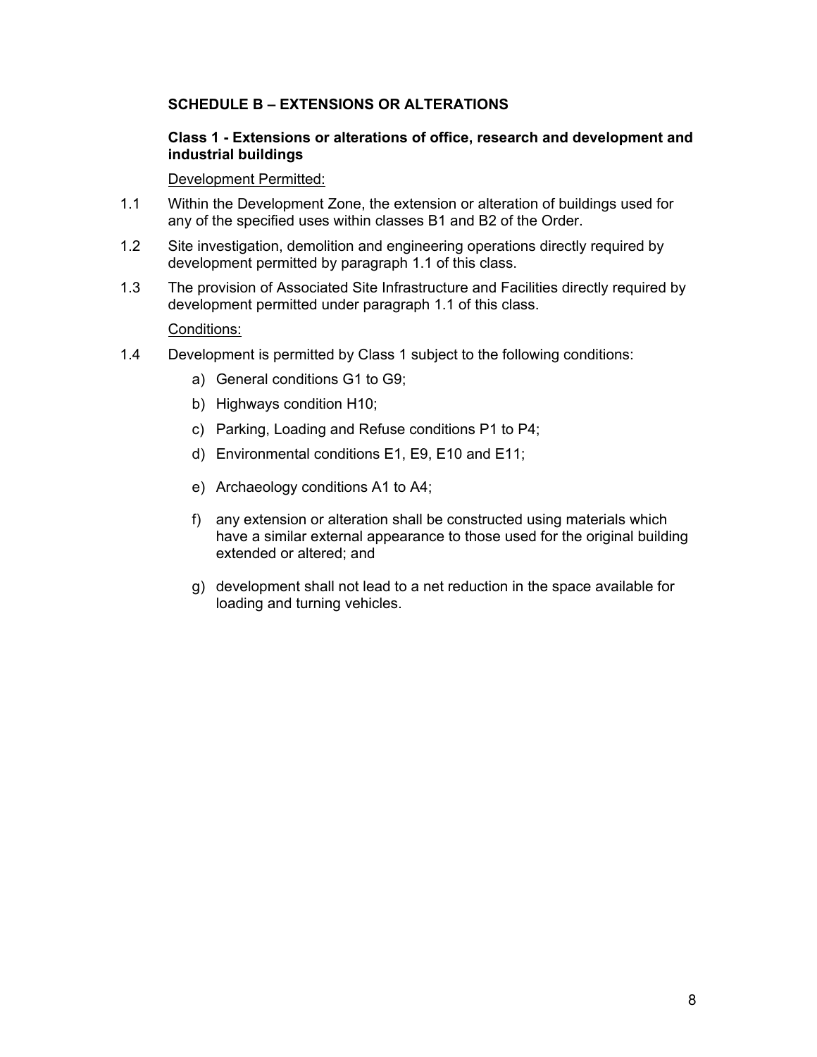# **SCHEDULE B – EXTENSIONS OR ALTERATIONS**

### **Class 1 - Extensions or alterations of office, research and development and industrial buildings**

### Development Permitted:

- 1.1 Within the Development Zone, the extension or alteration of buildings used for any of the specified uses within classes B1 and B2 of the Order.
- 1.2 Site investigation, demolition and engineering operations directly required by development permitted by paragraph 1.1 of this class.
- 1.3 The provision of Associated Site Infrastructure and Facilities directly required by development permitted under paragraph 1.1 of this class.

- 1.4 Development is permitted by Class 1 subject to the following conditions:
	- a) General conditions G1 to G9;
	- b) Highways condition H10;
	- c) Parking, Loading and Refuse conditions P1 to P4;
	- d) Environmental conditions E1, E9, E10 and E11;
	- e) Archaeology conditions A1 to A4;
	- f) any extension or alteration shall be constructed using materials which have a similar external appearance to those used for the original building extended or altered; and
	- g) development shall not lead to a net reduction in the space available for loading and turning vehicles.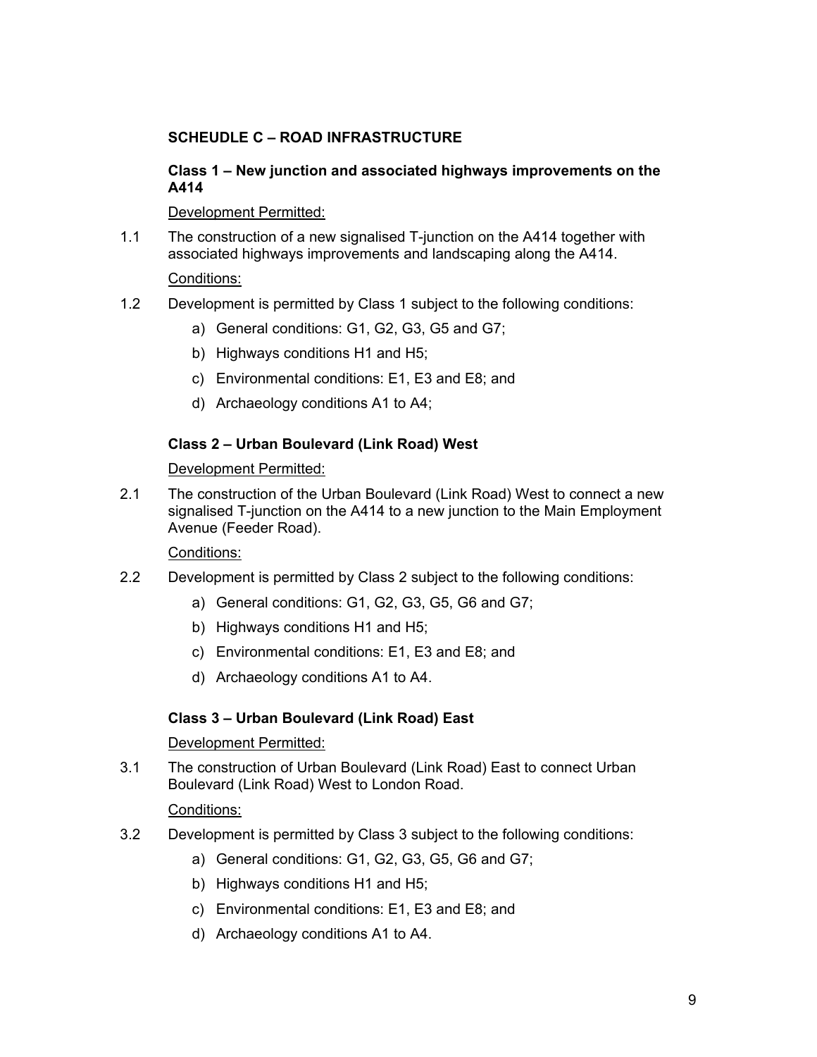# **SCHEUDLE C – ROAD INFRASTRUCTURE**

# **Class 1 – New junction and associated highways improvements on the A414**

# Development Permitted:

1.1 The construction of a new signalised T-junction on the A414 together with associated highways improvements and landscaping along the A414.

# Conditions:

- 1.2 Development is permitted by Class 1 subject to the following conditions:
	- a) General conditions: G1, G2, G3, G5 and G7;
	- b) Highways conditions H1 and H5;
	- c) Environmental conditions: E1, E3 and E8; and
	- d) Archaeology conditions A1 to A4;

# **Class 2 – Urban Boulevard (Link Road) West**

# Development Permitted:

2.1 The construction of the Urban Boulevard (Link Road) West to connect a new signalised T-junction on the A414 to a new junction to the Main Employment Avenue (Feeder Road).

# Conditions:

- 2.2 Development is permitted by Class 2 subject to the following conditions:
	- a) General conditions: G1, G2, G3, G5, G6 and G7;
	- b) Highways conditions H1 and H5;
	- c) Environmental conditions: E1, E3 and E8; and
	- d) Archaeology conditions A1 to A4.

# **Class 3 – Urban Boulevard (Link Road) East**

### Development Permitted:

3.1 The construction of Urban Boulevard (Link Road) East to connect Urban Boulevard (Link Road) West to London Road.

- 3.2 Development is permitted by Class 3 subject to the following conditions:
	- a) General conditions: G1, G2, G3, G5, G6 and G7;
	- b) Highways conditions H1 and H5;
	- c) Environmental conditions: E1, E3 and E8; and
	- d) Archaeology conditions A1 to A4.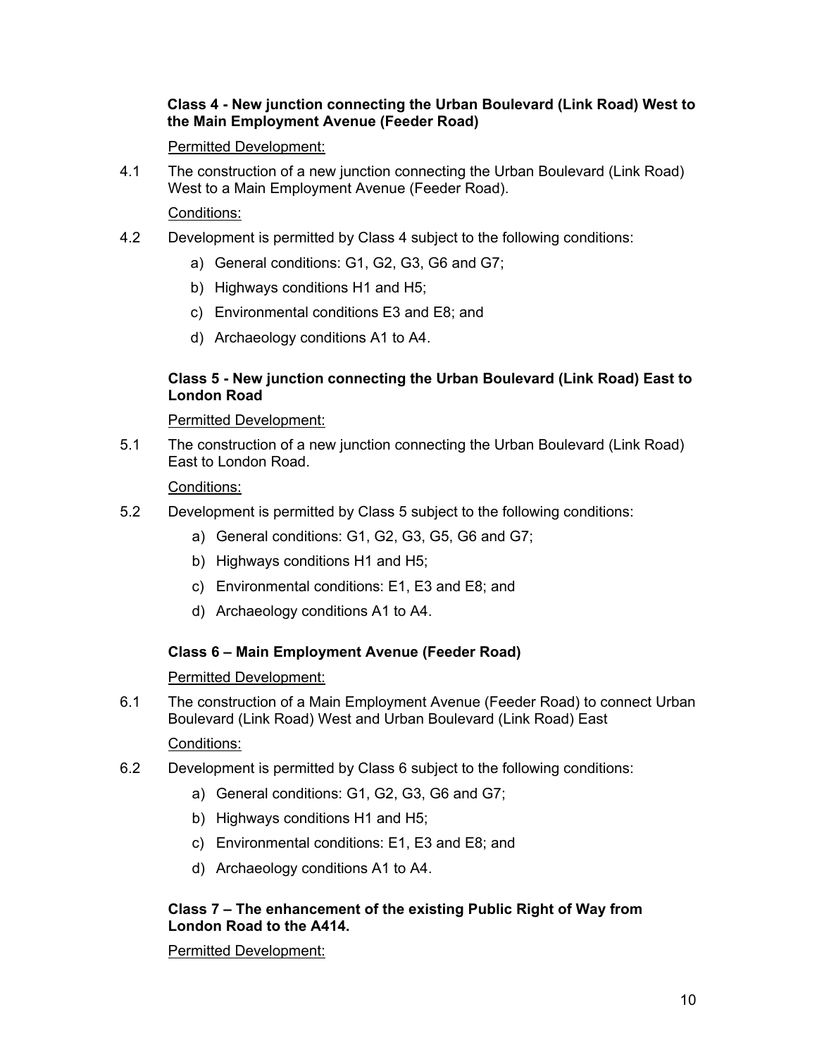# **Class 4 - New junction connecting the Urban Boulevard (Link Road) West to the Main Employment Avenue (Feeder Road)**

# Permitted Development:

4.1 The construction of a new junction connecting the Urban Boulevard (Link Road) West to a Main Employment Avenue (Feeder Road).

# Conditions:

- 4.2 Development is permitted by Class 4 subject to the following conditions:
	- a) General conditions: G1, G2, G3, G6 and G7;
	- b) Highways conditions H1 and H5;
	- c) Environmental conditions E3 and E8; and
	- d) Archaeology conditions A1 to A4.

# **Class 5 - New junction connecting the Urban Boulevard (Link Road) East to London Road**

Permitted Development:

5.1 The construction of a new junction connecting the Urban Boulevard (Link Road) East to London Road.

Conditions:

- 5.2 Development is permitted by Class 5 subject to the following conditions:
	- a) General conditions: G1, G2, G3, G5, G6 and G7;
	- b) Highways conditions H1 and H5;
	- c) Environmental conditions: E1, E3 and E8; and
	- d) Archaeology conditions A1 to A4.

### **Class 6 – Main Employment Avenue (Feeder Road)**

### Permitted Development:

6.1 The construction of a Main Employment Avenue (Feeder Road) to connect Urban Boulevard (Link Road) West and Urban Boulevard (Link Road) East

### Conditions:

- 6.2 Development is permitted by Class 6 subject to the following conditions:
	- a) General conditions: G1, G2, G3, G6 and G7;
	- b) Highways conditions H1 and H5;
	- c) Environmental conditions: E1, E3 and E8; and
	- d) Archaeology conditions A1 to A4.

### **Class 7 – The enhancement of the existing Public Right of Way from London Road to the A414.**

Permitted Development: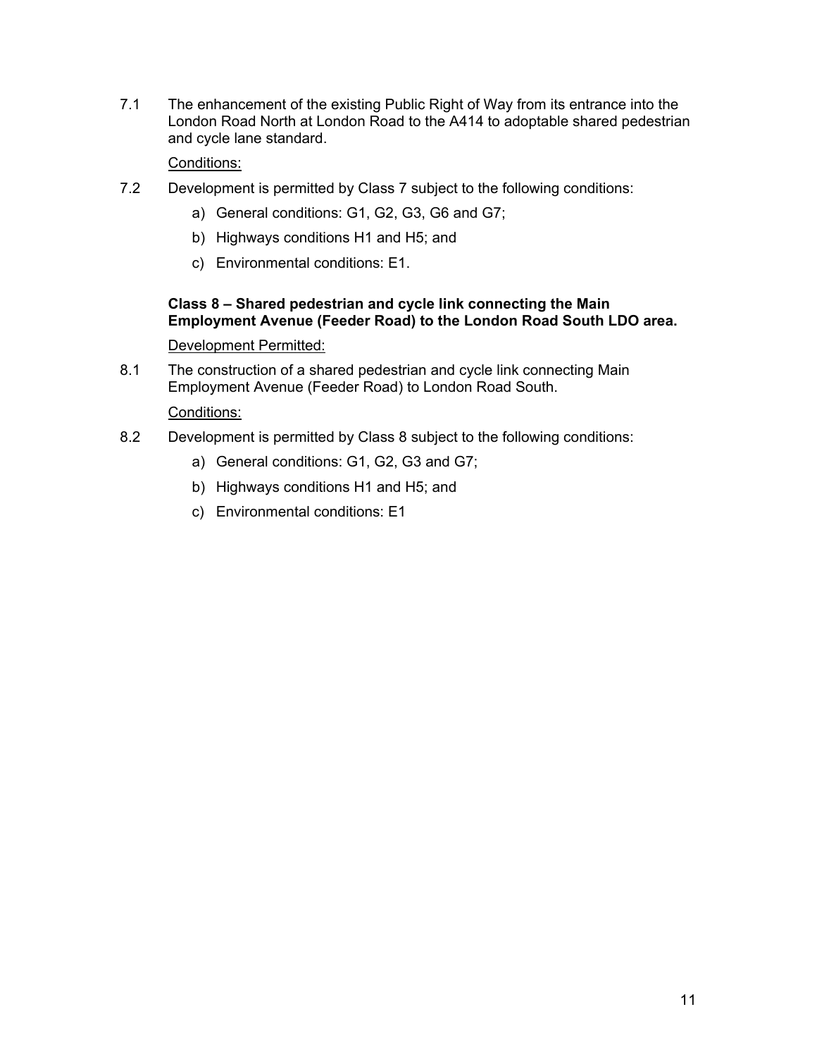7.1 The enhancement of the existing Public Right of Way from its entrance into the London Road North at London Road to the A414 to adoptable shared pedestrian and cycle lane standard.

### Conditions:

- 7.2 Development is permitted by Class 7 subject to the following conditions:
	- a) General conditions: G1, G2, G3, G6 and G7;
	- b) Highways conditions H1 and H5; and
	- c) Environmental conditions: E1.

### **Class 8 – Shared pedestrian and cycle link connecting the Main Employment Avenue (Feeder Road) to the London Road South LDO area.**

### Development Permitted:

8.1 The construction of a shared pedestrian and cycle link connecting Main Employment Avenue (Feeder Road) to London Road South.

- 8.2 Development is permitted by Class 8 subject to the following conditions:
	- a) General conditions: G1, G2, G3 and G7;
	- b) Highways conditions H1 and H5; and
	- c) Environmental conditions: E1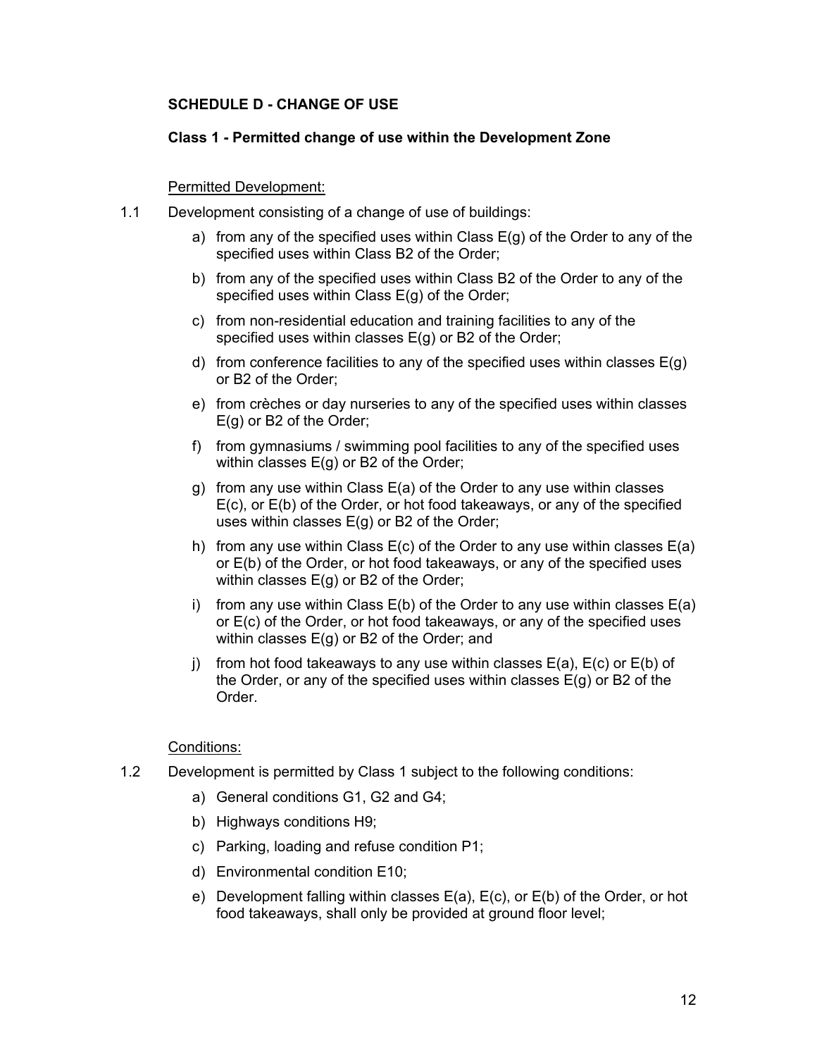### **SCHEDULE D - CHANGE OF USE**

### **Class 1 - Permitted change of use within the Development Zone**

### Permitted Development:

- 1.1 Development consisting of a change of use of buildings:
	- a) from any of the specified uses within Class  $E(q)$  of the Order to any of the specified uses within Class B2 of the Order;
	- b) from any of the specified uses within Class B2 of the Order to any of the specified uses within Class E(g) of the Order;
	- c) from non-residential education and training facilities to any of the specified uses within classes E(g) or B2 of the Order;
	- d) from conference facilities to any of the specified uses within classes  $E(g)$ or B2 of the Order;
	- e) from crèches or day nurseries to any of the specified uses within classes E(g) or B2 of the Order;
	- f) from gymnasiums / swimming pool facilities to any of the specified uses within classes E(g) or B2 of the Order;
	- g) from any use within Class E(a) of the Order to any use within classes E(c), or E(b) of the Order, or hot food takeaways, or any of the specified uses within classes E(g) or B2 of the Order;
	- h) from any use within Class  $E(c)$  of the Order to any use within classes  $E(a)$ or E(b) of the Order, or hot food takeaways, or any of the specified uses within classes E(g) or B2 of the Order;
	- i) from any use within Class  $E(b)$  of the Order to any use within classes  $E(a)$ or E(c) of the Order, or hot food takeaways, or any of the specified uses within classes E(g) or B2 of the Order; and
	- j) from hot food takeaways to any use within classes  $E(a)$ ,  $E(c)$  or  $E(b)$  of the Order, or any of the specified uses within classes  $E(g)$  or B2 of the Order.

- 1.2 Development is permitted by Class 1 subject to the following conditions:
	- a) General conditions G1, G2 and G4;
	- b) Highways conditions H9;
	- c) Parking, loading and refuse condition P1;
	- d) Environmental condition E10;
	- e) Development falling within classes E(a), E(c), or E(b) of the Order, or hot food takeaways, shall only be provided at ground floor level;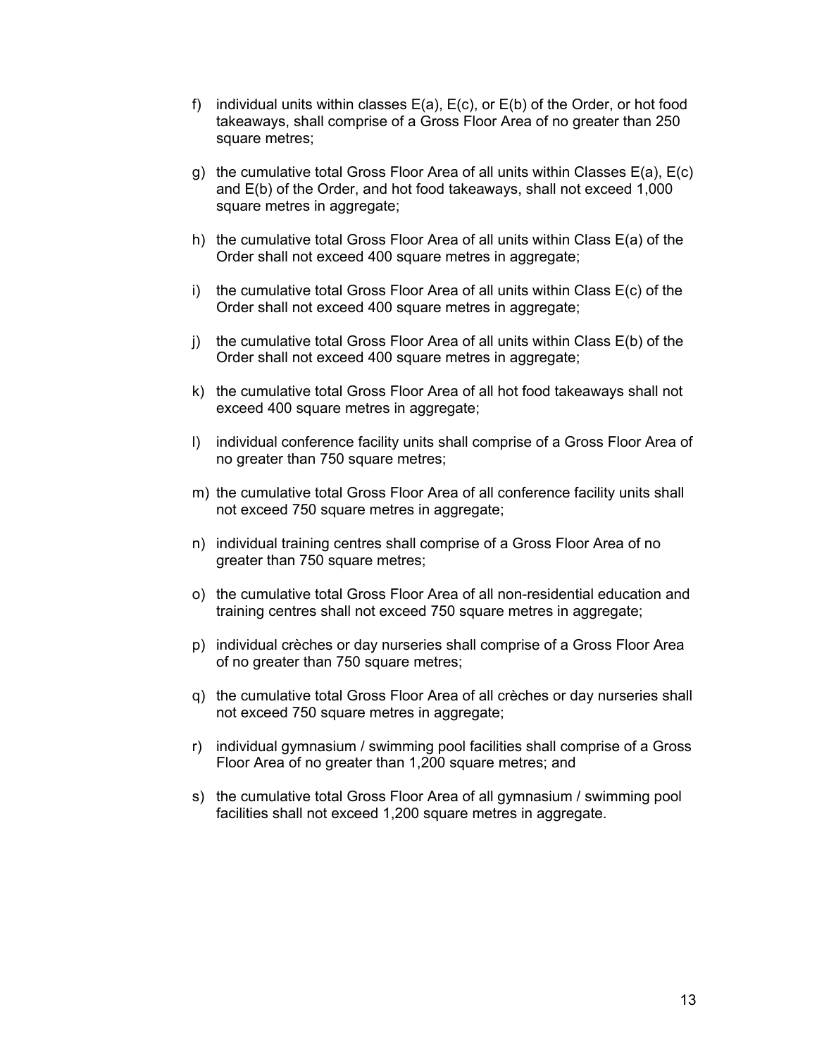- f) individual units within classes  $E(a)$ ,  $E(c)$ , or  $E(b)$  of the Order, or hot food takeaways, shall comprise of a Gross Floor Area of no greater than 250 square metres;
- g) the cumulative total Gross Floor Area of all units within Classes E(a), E(c) and E(b) of the Order, and hot food takeaways, shall not exceed 1,000 square metres in aggregate;
- h) the cumulative total Gross Floor Area of all units within Class E(a) of the Order shall not exceed 400 square metres in aggregate;
- i) the cumulative total Gross Floor Area of all units within Class E(c) of the Order shall not exceed 400 square metres in aggregate;
- j) the cumulative total Gross Floor Area of all units within Class E(b) of the Order shall not exceed 400 square metres in aggregate;
- k) the cumulative total Gross Floor Area of all hot food takeaways shall not exceed 400 square metres in aggregate;
- l) individual conference facility units shall comprise of a Gross Floor Area of no greater than 750 square metres;
- m) the cumulative total Gross Floor Area of all conference facility units shall not exceed 750 square metres in aggregate;
- n) individual training centres shall comprise of a Gross Floor Area of no greater than 750 square metres;
- o) the cumulative total Gross Floor Area of all non-residential education and training centres shall not exceed 750 square metres in aggregate;
- p) individual crèches or day nurseries shall comprise of a Gross Floor Area of no greater than 750 square metres;
- q) the cumulative total Gross Floor Area of all crèches or day nurseries shall not exceed 750 square metres in aggregate;
- r) individual gymnasium / swimming pool facilities shall comprise of a Gross Floor Area of no greater than 1,200 square metres; and
- s) the cumulative total Gross Floor Area of all gymnasium / swimming pool facilities shall not exceed 1,200 square metres in aggregate.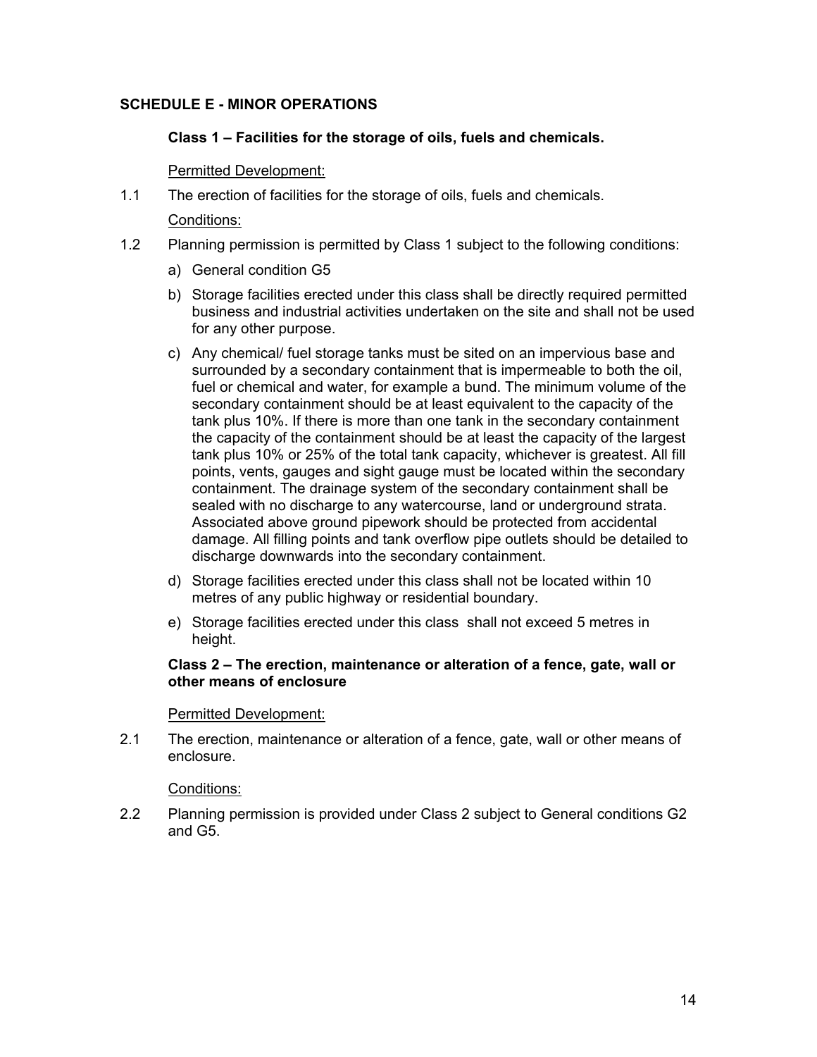# **SCHEDULE E - MINOR OPERATIONS**

### **Class 1 – Facilities for the storage of oils, fuels and chemicals.**

### Permitted Development:

1.1 The erection of facilities for the storage of oils, fuels and chemicals.

### Conditions:

- 1.2 Planning permission is permitted by Class 1 subject to the following conditions:
	- a) General condition G5
	- b) Storage facilities erected under this class shall be directly required permitted business and industrial activities undertaken on the site and shall not be used for any other purpose.
	- c) Any chemical/ fuel storage tanks must be sited on an impervious base and surrounded by a secondary containment that is impermeable to both the oil, fuel or chemical and water, for example a bund. The minimum volume of the secondary containment should be at least equivalent to the capacity of the tank plus 10%. If there is more than one tank in the secondary containment the capacity of the containment should be at least the capacity of the largest tank plus 10% or 25% of the total tank capacity, whichever is greatest. All fill points, vents, gauges and sight gauge must be located within the secondary containment. The drainage system of the secondary containment shall be sealed with no discharge to any watercourse, land or underground strata. Associated above ground pipework should be protected from accidental damage. All filling points and tank overflow pipe outlets should be detailed to discharge downwards into the secondary containment.
	- d) Storage facilities erected under this class shall not be located within 10 metres of any public highway or residential boundary.
	- e) Storage facilities erected under this class shall not exceed 5 metres in height.

### **Class 2 – The erection, maintenance or alteration of a fence, gate, wall or other means of enclosure**

### Permitted Development:

2.1 The erection, maintenance or alteration of a fence, gate, wall or other means of enclosure.

### Conditions:

2.2 Planning permission is provided under Class 2 subject to General conditions G2 and G5.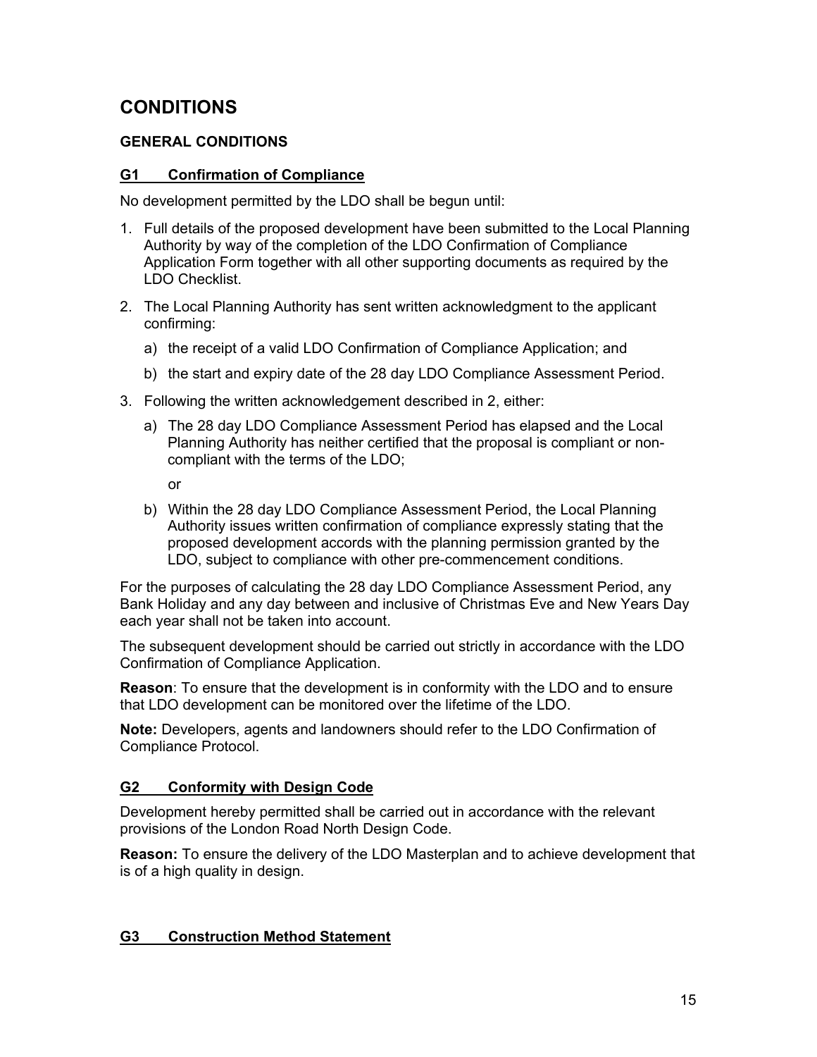# **CONDITIONS**

# **GENERAL CONDITIONS**

# **G1 Confirmation of Compliance**

No development permitted by the LDO shall be begun until:

- 1. Full details of the proposed development have been submitted to the Local Planning Authority by way of the completion of the LDO Confirmation of Compliance Application Form together with all other supporting documents as required by the LDO Checklist.
- 2. The Local Planning Authority has sent written acknowledgment to the applicant confirming:
	- a) the receipt of a valid LDO Confirmation of Compliance Application; and
	- b) the start and expiry date of the 28 day LDO Compliance Assessment Period.
- 3. Following the written acknowledgement described in 2, either:
	- a) The 28 day LDO Compliance Assessment Period has elapsed and the Local Planning Authority has neither certified that the proposal is compliant or noncompliant with the terms of the LDO;

or

b) Within the 28 day LDO Compliance Assessment Period, the Local Planning Authority issues written confirmation of compliance expressly stating that the proposed development accords with the planning permission granted by the LDO, subject to compliance with other pre-commencement conditions.

For the purposes of calculating the 28 day LDO Compliance Assessment Period, any Bank Holiday and any day between and inclusive of Christmas Eve and New Years Day each year shall not be taken into account.

The subsequent development should be carried out strictly in accordance with the LDO Confirmation of Compliance Application.

**Reason**: To ensure that the development is in conformity with the LDO and to ensure that LDO development can be monitored over the lifetime of the LDO.

**Note:** Developers, agents and landowners should refer to the LDO Confirmation of Compliance Protocol.

# **G2 Conformity with Design Code**

Development hereby permitted shall be carried out in accordance with the relevant provisions of the London Road North Design Code.

**Reason:** To ensure the delivery of the LDO Masterplan and to achieve development that is of a high quality in design.

# **G3 Construction Method Statement**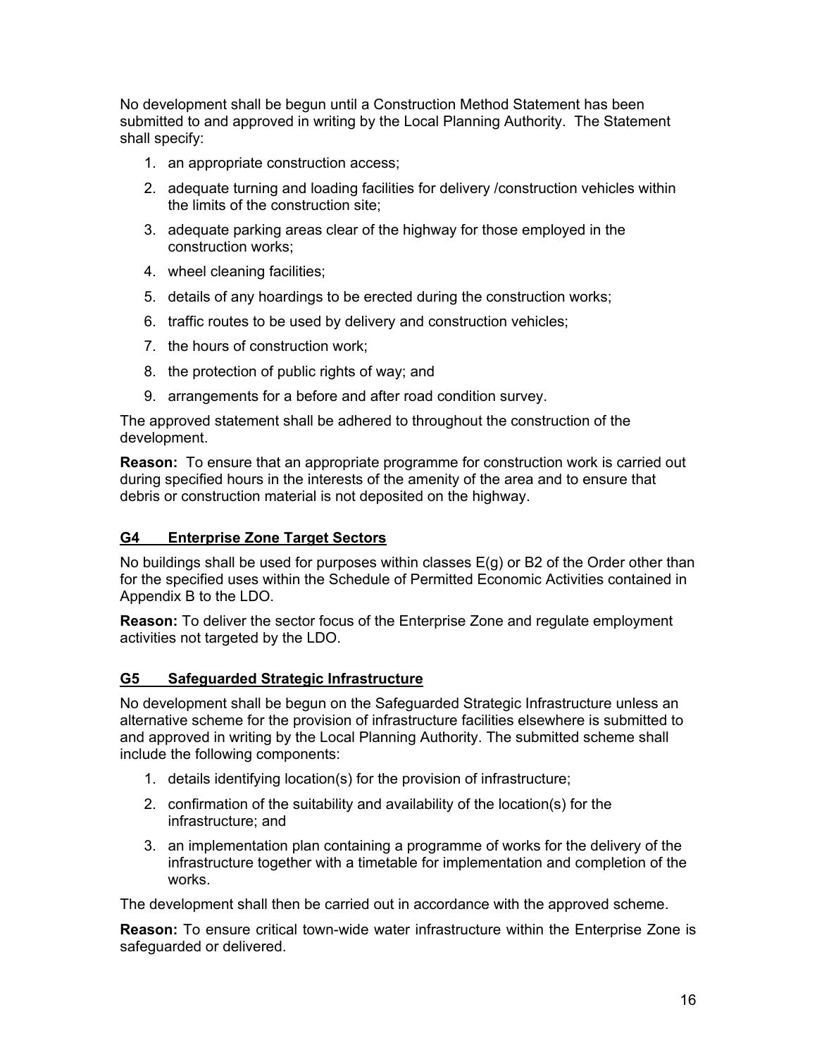No development shall be begun until a Construction Method Statement has been submitted to and approved in writing by the Local Planning Authority. The Statement shall specify:

- 1. an appropriate construction access;
- 2. adequate turning and loading facilities for delivery /construction vehicles within the limits of the construction site;
- 3. adequate parking areas clear of the highway for those employed in the construction works;
- 4. wheel cleaning facilities;
- 5. details of any hoardings to be erected during the construction works;
- 6. traffic routes to be used by delivery and construction vehicles;
- 7. the hours of construction work;
- 8. the protection of public rights of way; and
- 9. arrangements for a before and after road condition survey.

The approved statement shall be adhered to throughout the construction of the development.

**Reason:** To ensure that an appropriate programme for construction work is carried out during specified hours in the interests of the amenity of the area and to ensure that debris or construction material is not deposited on the highway.

### **G4 Enterprise Zone Target Sectors**

No buildings shall be used for purposes within classes  $E(q)$  or B2 of the Order other than for the specified uses within the Schedule of Permitted Economic Activities contained in Appendix B to the LDO.

**Reason:** To deliver the sector focus of the Enterprise Zone and regulate employment activities not targeted by the LDO.

### **G5 Safeguarded Strategic Infrastructure**

No development shall be begun on the Safeguarded Strategic Infrastructure unless an alternative scheme for the provision of infrastructure facilities elsewhere is submitted to and approved in writing by the Local Planning Authority. The submitted scheme shall include the following components:

- 1. details identifying location(s) for the provision of infrastructure;
- 2. confirmation of the suitability and availability of the location(s) for the infrastructure; and
- 3. an implementation plan containing a programme of works for the delivery of the infrastructure together with a timetable for implementation and completion of the works.

The development shall then be carried out in accordance with the approved scheme.

**Reason:** To ensure critical town-wide water infrastructure within the Enterprise Zone is safeguarded or delivered.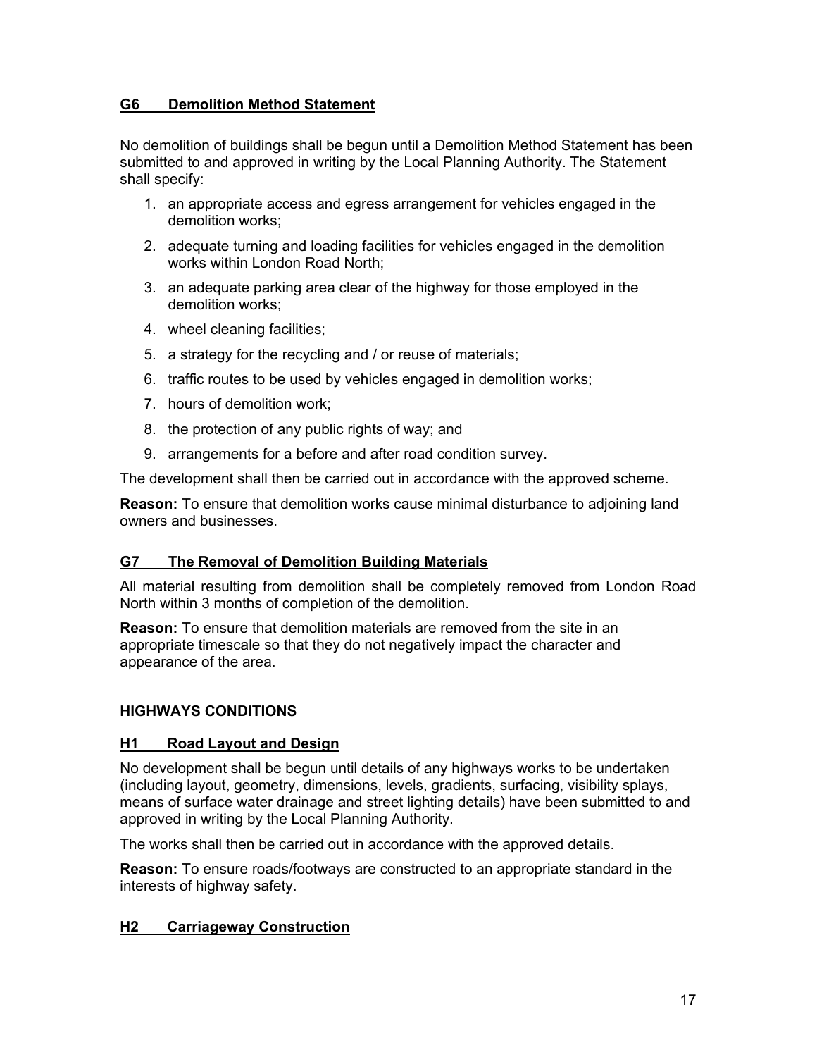# **G6 Demolition Method Statement**

No demolition of buildings shall be begun until a Demolition Method Statement has been submitted to and approved in writing by the Local Planning Authority. The Statement shall specify:

- 1. an appropriate access and egress arrangement for vehicles engaged in the demolition works;
- 2. adequate turning and loading facilities for vehicles engaged in the demolition works within London Road North;
- 3. an adequate parking area clear of the highway for those employed in the demolition works;
- 4. wheel cleaning facilities;
- 5. a strategy for the recycling and / or reuse of materials;
- 6. traffic routes to be used by vehicles engaged in demolition works;
- 7. hours of demolition work;
- 8. the protection of any public rights of way; and
- 9. arrangements for a before and after road condition survey.

The development shall then be carried out in accordance with the approved scheme.

**Reason:** To ensure that demolition works cause minimal disturbance to adjoining land owners and businesses.

# **G7 The Removal of Demolition Building Materials**

All material resulting from demolition shall be completely removed from London Road North within 3 months of completion of the demolition.

**Reason:** To ensure that demolition materials are removed from the site in an appropriate timescale so that they do not negatively impact the character and appearance of the area.

# **HIGHWAYS CONDITIONS**

### **H1 Road Layout and Design**

No development shall be begun until details of any highways works to be undertaken (including layout, geometry, dimensions, levels, gradients, surfacing, visibility splays, means of surface water drainage and street lighting details) have been submitted to and approved in writing by the Local Planning Authority.

The works shall then be carried out in accordance with the approved details.

**Reason:** To ensure roads/footways are constructed to an appropriate standard in the interests of highway safety.

### **H2 Carriageway Construction**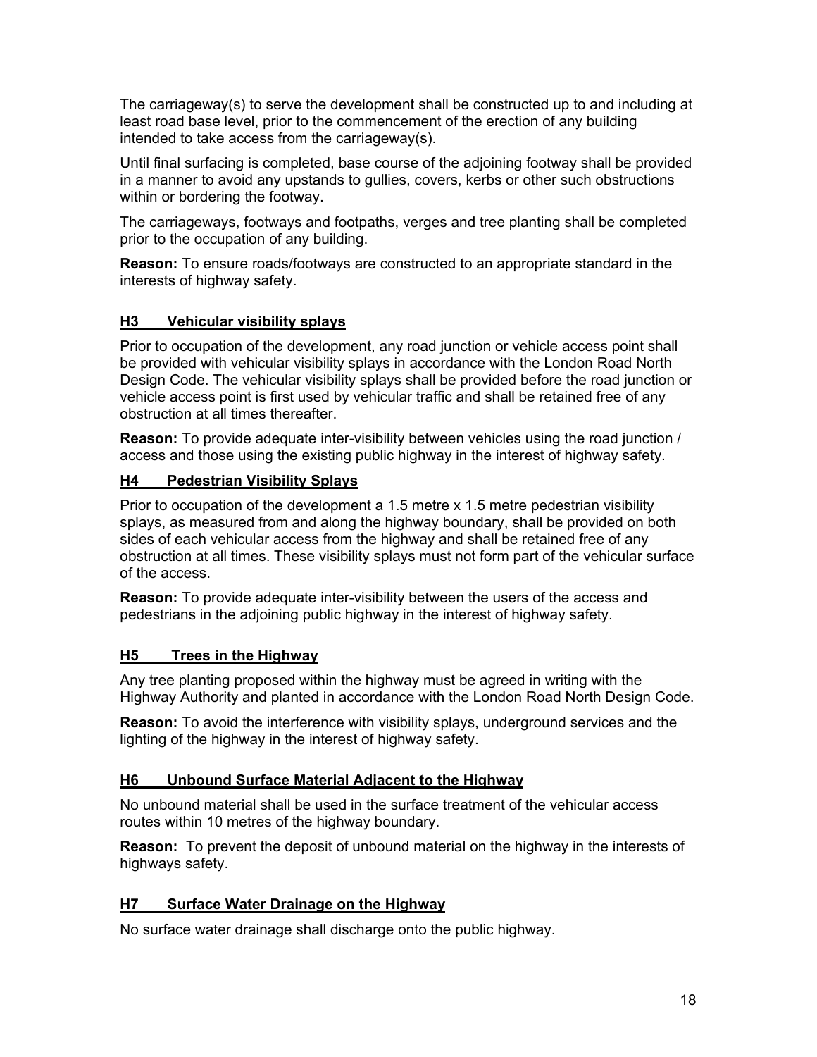The carriageway(s) to serve the development shall be constructed up to and including at least road base level, prior to the commencement of the erection of any building intended to take access from the carriageway(s).

Until final surfacing is completed, base course of the adjoining footway shall be provided in a manner to avoid any upstands to gullies, covers, kerbs or other such obstructions within or bordering the footway.

The carriageways, footways and footpaths, verges and tree planting shall be completed prior to the occupation of any building.

**Reason:** To ensure roads/footways are constructed to an appropriate standard in the interests of highway safety.

# **H3 Vehicular visibility splays**

Prior to occupation of the development, any road junction or vehicle access point shall be provided with vehicular visibility splays in accordance with the London Road North Design Code. The vehicular visibility splays shall be provided before the road junction or vehicle access point is first used by vehicular traffic and shall be retained free of any obstruction at all times thereafter.

**Reason:** To provide adequate inter-visibility between vehicles using the road junction / access and those using the existing public highway in the interest of highway safety.

# **H4 Pedestrian Visibility Splays**

Prior to occupation of the development a 1.5 metre x 1.5 metre pedestrian visibility splays, as measured from and along the highway boundary, shall be provided on both sides of each vehicular access from the highway and shall be retained free of any obstruction at all times. These visibility splays must not form part of the vehicular surface of the access.

**Reason:** To provide adequate inter-visibility between the users of the access and pedestrians in the adjoining public highway in the interest of highway safety.

### **H5 Trees in the Highway**

Any tree planting proposed within the highway must be agreed in writing with the Highway Authority and planted in accordance with the London Road North Design Code.

**Reason:** To avoid the interference with visibility splays, underground services and the lighting of the highway in the interest of highway safety.

### **H6 Unbound Surface Material Adjacent to the Highway**

No unbound material shall be used in the surface treatment of the vehicular access routes within 10 metres of the highway boundary.

**Reason:** To prevent the deposit of unbound material on the highway in the interests of highways safety.

### **H7 Surface Water Drainage on the Highway**

No surface water drainage shall discharge onto the public highway.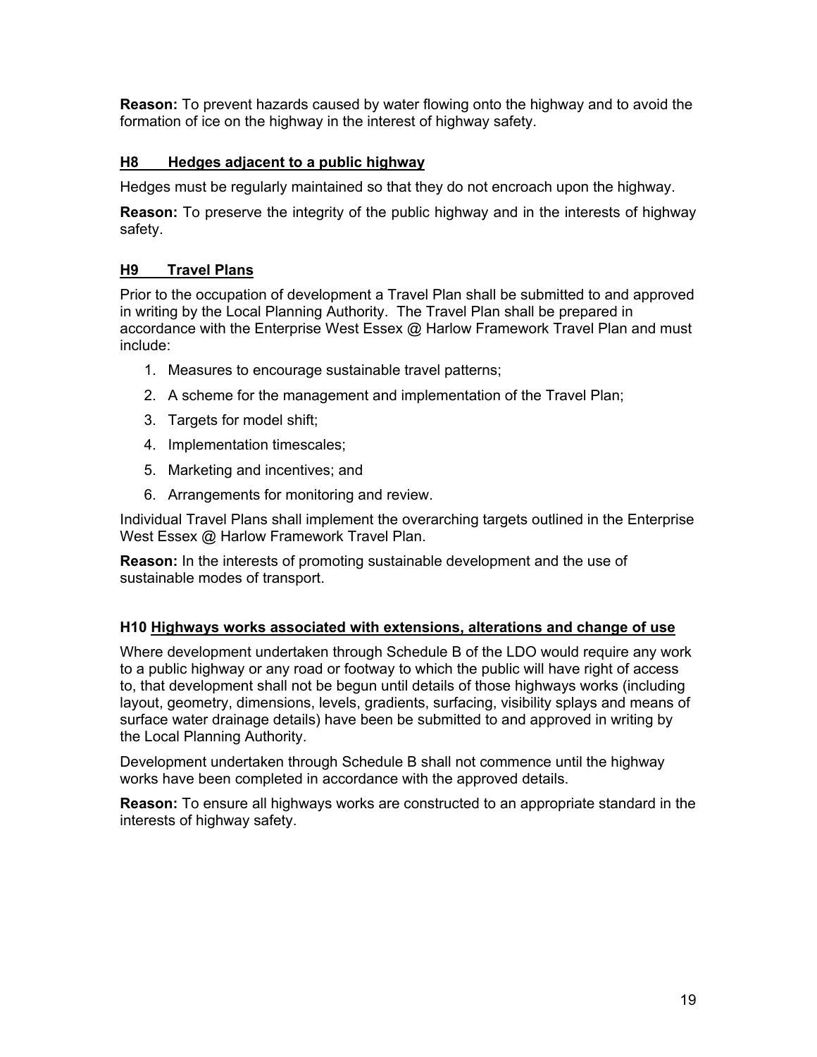**Reason:** To prevent hazards caused by water flowing onto the highway and to avoid the formation of ice on the highway in the interest of highway safety.

# **H8 Hedges adjacent to a public highway**

Hedges must be regularly maintained so that they do not encroach upon the highway.

**Reason:** To preserve the integrity of the public highway and in the interests of highway safety.

# **H9 Travel Plans**

Prior to the occupation of development a Travel Plan shall be submitted to and approved in writing by the Local Planning Authority. The Travel Plan shall be prepared in accordance with the Enterprise West Essex @ Harlow Framework Travel Plan and must include:

- 1. Measures to encourage sustainable travel patterns;
- 2. A scheme for the management and implementation of the Travel Plan;
- 3. Targets for model shift;
- 4. Implementation timescales;
- 5. Marketing and incentives; and
- 6. Arrangements for monitoring and review.

Individual Travel Plans shall implement the overarching targets outlined in the Enterprise West Essex @ Harlow Framework Travel Plan.

**Reason:** In the interests of promoting sustainable development and the use of sustainable modes of transport.

### **H10 Highways works associated with extensions, alterations and change of use**

Where development undertaken through Schedule B of the LDO would require any work to a public highway or any road or footway to which the public will have right of access to, that development shall not be begun until details of those highways works (including layout, geometry, dimensions, levels, gradients, surfacing, visibility splays and means of surface water drainage details) have been be submitted to and approved in writing by the Local Planning Authority.

Development undertaken through Schedule B shall not commence until the highway works have been completed in accordance with the approved details.

**Reason:** To ensure all highways works are constructed to an appropriate standard in the interests of highway safety.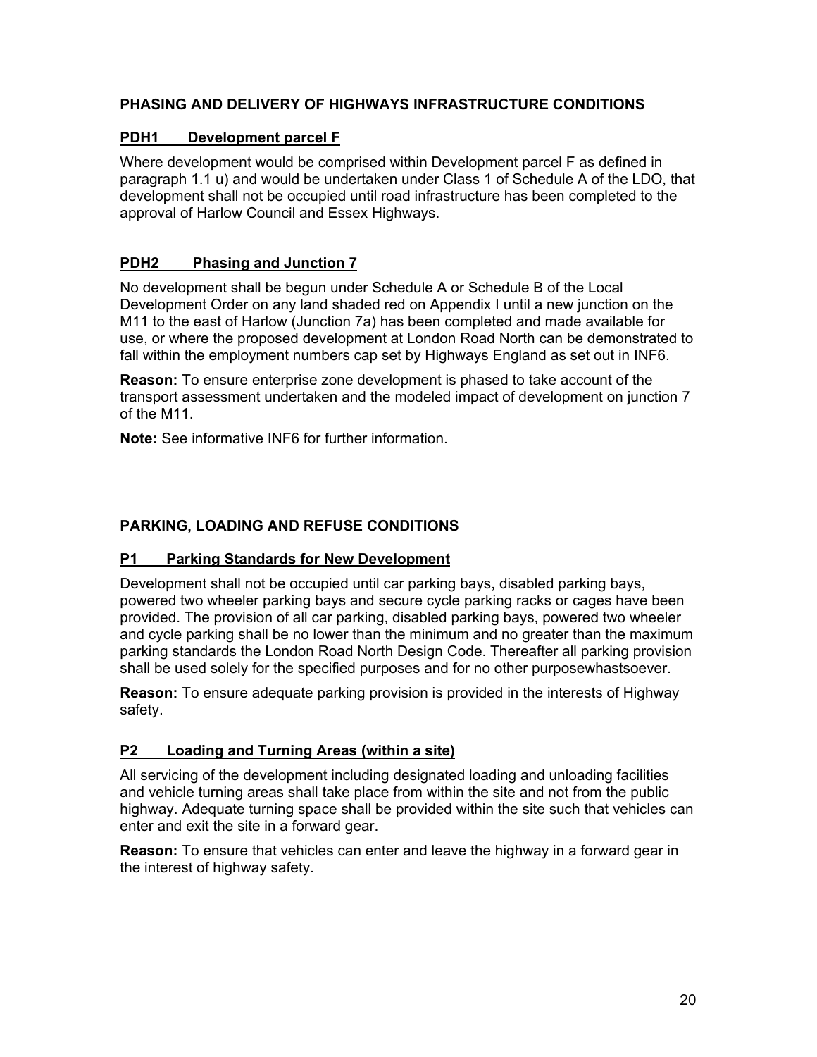# **PHASING AND DELIVERY OF HIGHWAYS INFRASTRUCTURE CONDITIONS**

### **PDH1 Development parcel F**

Where development would be comprised within Development parcel F as defined in paragraph 1.1 u) and would be undertaken under Class 1 of Schedule A of the LDO, that development shall not be occupied until road infrastructure has been completed to the approval of Harlow Council and Essex Highways.

# **PDH2 Phasing and Junction 7**

No development shall be begun under Schedule A or Schedule B of the Local Development Order on any land shaded red on Appendix I until a new junction on the M11 to the east of Harlow (Junction 7a) has been completed and made available for use, or where the proposed development at London Road North can be demonstrated to fall within the employment numbers cap set by Highways England as set out in INF6.

**Reason:** To ensure enterprise zone development is phased to take account of the transport assessment undertaken and the modeled impact of development on junction 7 of the M11.

**Note:** See informative INF6 for further information.

# **PARKING, LOADING AND REFUSE CONDITIONS**

### **P1 Parking Standards for New Development**

Development shall not be occupied until car parking bays, disabled parking bays, powered two wheeler parking bays and secure cycle parking racks or cages have been provided. The provision of all car parking, disabled parking bays, powered two wheeler and cycle parking shall be no lower than the minimum and no greater than the maximum parking standards the London Road North Design Code. Thereafter all parking provision shall be used solely for the specified purposes and for no other purposewhastsoever.

**Reason:** To ensure adequate parking provision is provided in the interests of Highway safety.

### **P2 Loading and Turning Areas (within a site)**

All servicing of the development including designated loading and unloading facilities and vehicle turning areas shall take place from within the site and not from the public highway. Adequate turning space shall be provided within the site such that vehicles can enter and exit the site in a forward gear.

**Reason:** To ensure that vehicles can enter and leave the highway in a forward gear in the interest of highway safety.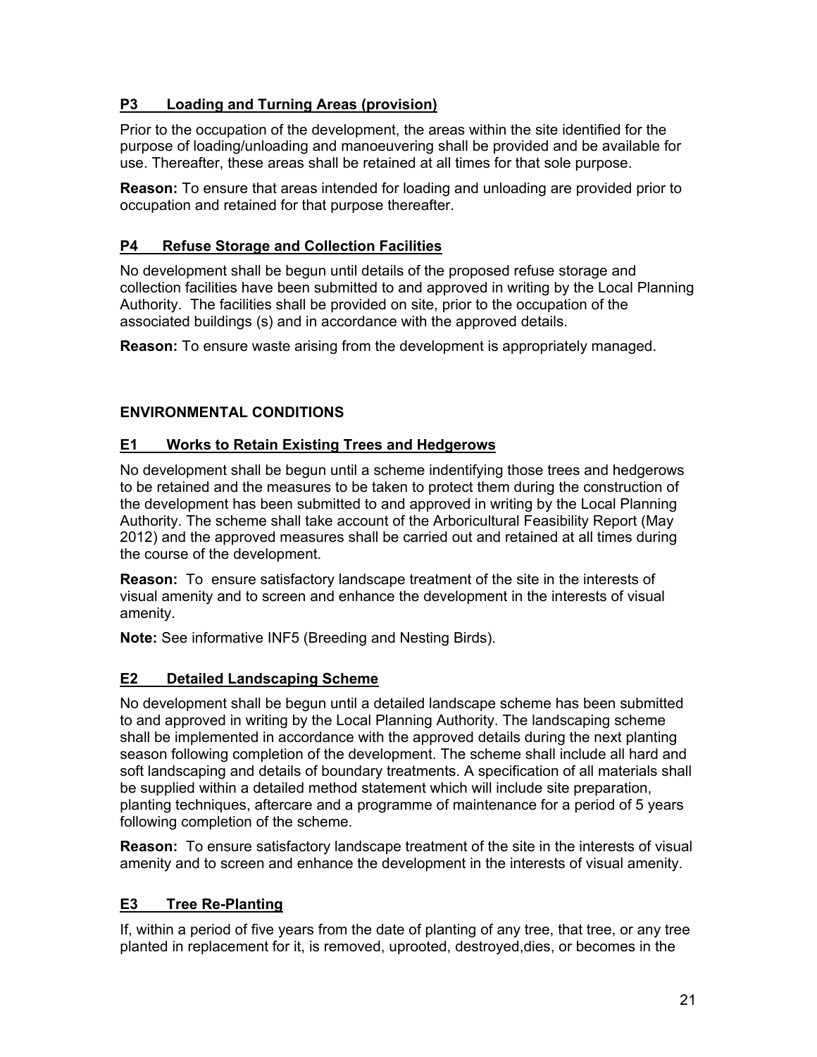# **P3 Loading and Turning Areas (provision)**

Prior to the occupation of the development, the areas within the site identified for the purpose of loading/unloading and manoeuvering shall be provided and be available for use. Thereafter, these areas shall be retained at all times for that sole purpose.

**Reason:** To ensure that areas intended for loading and unloading are provided prior to occupation and retained for that purpose thereafter.

# **P4 Refuse Storage and Collection Facilities**

No development shall be begun until details of the proposed refuse storage and collection facilities have been submitted to and approved in writing by the Local Planning Authority. The facilities shall be provided on site, prior to the occupation of the associated buildings (s) and in accordance with the approved details.

**Reason:** To ensure waste arising from the development is appropriately managed.

# **ENVIRONMENTAL CONDITIONS**

# **E1 Works to Retain Existing Trees and Hedgerows**

No development shall be begun until a scheme indentifying those trees and hedgerows to be retained and the measures to be taken to protect them during the construction of the development has been submitted to and approved in writing by the Local Planning Authority. The scheme shall take account of the Arboricultural Feasibility Report (May 2012) and the approved measures shall be carried out and retained at all times during the course of the development.

**Reason:** To ensure satisfactory landscape treatment of the site in the interests of visual amenity and to screen and enhance the development in the interests of visual amenity.

**Note:** See informative INF5 (Breeding and Nesting Birds).

# **E2 Detailed Landscaping Scheme**

No development shall be begun until a detailed landscape scheme has been submitted to and approved in writing by the Local Planning Authority. The landscaping scheme shall be implemented in accordance with the approved details during the next planting season following completion of the development. The scheme shall include all hard and soft landscaping and details of boundary treatments. A specification of all materials shall be supplied within a detailed method statement which will include site preparation, planting techniques, aftercare and a programme of maintenance for a period of 5 years following completion of the scheme.

**Reason:** To ensure satisfactory landscape treatment of the site in the interests of visual amenity and to screen and enhance the development in the interests of visual amenity.

# **E3 Tree Re-Planting**

If, within a period of five years from the date of planting of any tree, that tree, or any tree planted in replacement for it, is removed, uprooted, destroyed,dies, or becomes in the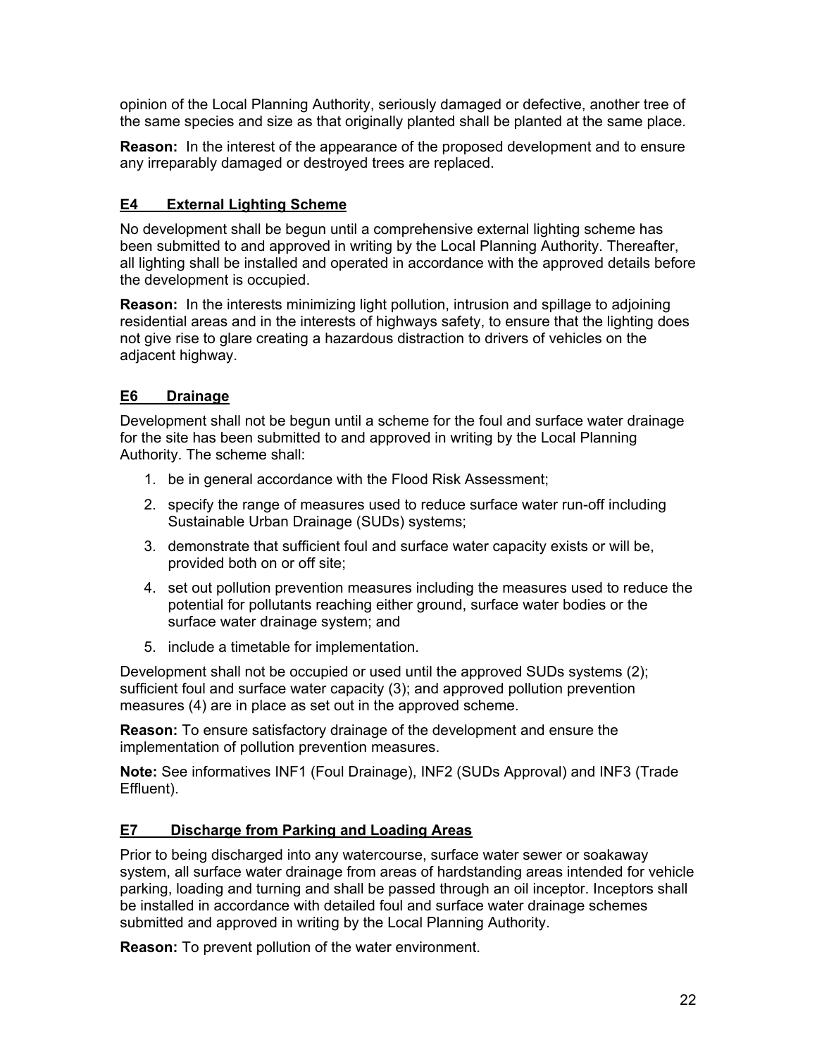opinion of the Local Planning Authority, seriously damaged or defective, another tree of the same species and size as that originally planted shall be planted at the same place.

**Reason:** In the interest of the appearance of the proposed development and to ensure any irreparably damaged or destroyed trees are replaced.

# **E4 External Lighting Scheme**

No development shall be begun until a comprehensive external lighting scheme has been submitted to and approved in writing by the Local Planning Authority. Thereafter, all lighting shall be installed and operated in accordance with the approved details before the development is occupied.

**Reason:** In the interests minimizing light pollution, intrusion and spillage to adjoining residential areas and in the interests of highways safety, to ensure that the lighting does not give rise to glare creating a hazardous distraction to drivers of vehicles on the adjacent highway.

# **E6 Drainage**

Development shall not be begun until a scheme for the foul and surface water drainage for the site has been submitted to and approved in writing by the Local Planning Authority. The scheme shall:

- 1. be in general accordance with the Flood Risk Assessment;
- 2. specify the range of measures used to reduce surface water run-off including Sustainable Urban Drainage (SUDs) systems;
- 3. demonstrate that sufficient foul and surface water capacity exists or will be, provided both on or off site;
- 4. set out pollution prevention measures including the measures used to reduce the potential for pollutants reaching either ground, surface water bodies or the surface water drainage system; and
- 5. include a timetable for implementation.

Development shall not be occupied or used until the approved SUDs systems (2); sufficient foul and surface water capacity (3); and approved pollution prevention measures (4) are in place as set out in the approved scheme.

**Reason:** To ensure satisfactory drainage of the development and ensure the implementation of pollution prevention measures.

**Note:** See informatives INF1 (Foul Drainage), INF2 (SUDs Approval) and INF3 (Trade Effluent).

# **E7 Discharge from Parking and Loading Areas**

Prior to being discharged into any watercourse, surface water sewer or soakaway system, all surface water drainage from areas of hardstanding areas intended for vehicle parking, loading and turning and shall be passed through an oil inceptor. Inceptors shall be installed in accordance with detailed foul and surface water drainage schemes submitted and approved in writing by the Local Planning Authority.

**Reason:** To prevent pollution of the water environment.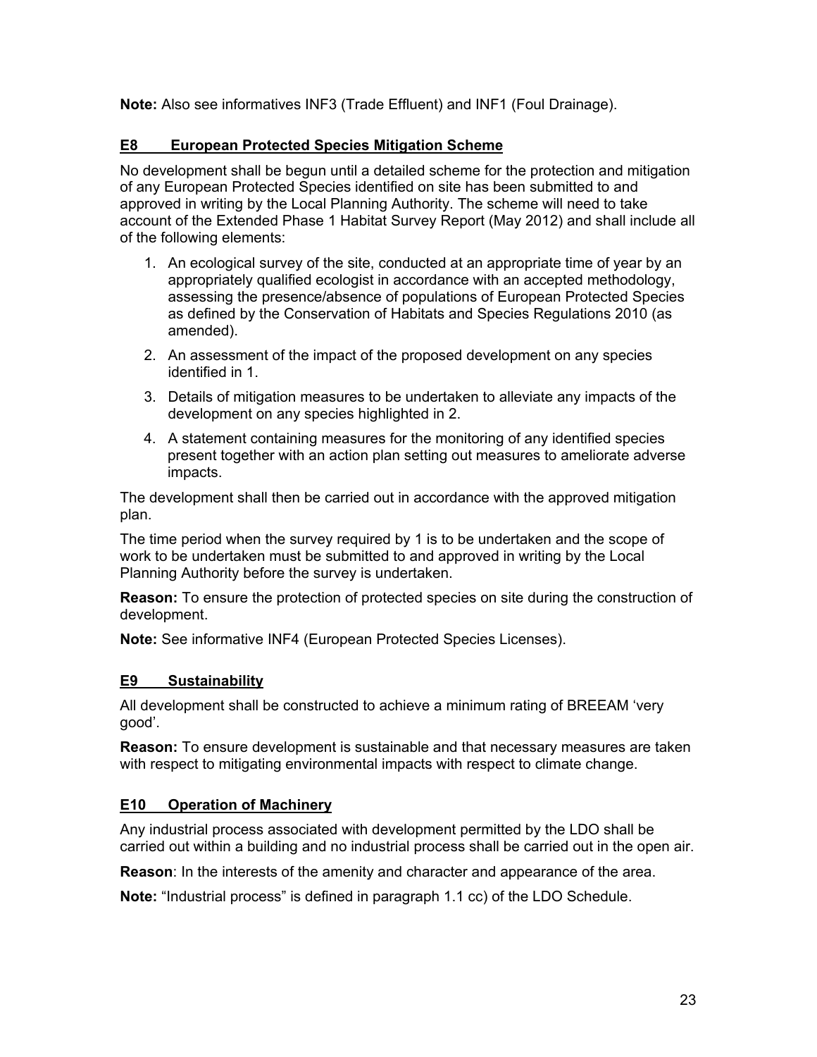**Note:** Also see informatives INF3 (Trade Effluent) and INF1 (Foul Drainage).

# **E8 European Protected Species Mitigation Scheme**

No development shall be begun until a detailed scheme for the protection and mitigation of any European Protected Species identified on site has been submitted to and approved in writing by the Local Planning Authority. The scheme will need to take account of the Extended Phase 1 Habitat Survey Report (May 2012) and shall include all of the following elements:

- 1. An ecological survey of the site, conducted at an appropriate time of year by an appropriately qualified ecologist in accordance with an accepted methodology, assessing the presence/absence of populations of European Protected Species as defined by the Conservation of Habitats and Species Regulations 2010 (as amended).
- 2. An assessment of the impact of the proposed development on any species identified in 1.
- 3. Details of mitigation measures to be undertaken to alleviate any impacts of the development on any species highlighted in 2.
- 4. A statement containing measures for the monitoring of any identified species present together with an action plan setting out measures to ameliorate adverse impacts.

The development shall then be carried out in accordance with the approved mitigation plan.

The time period when the survey required by 1 is to be undertaken and the scope of work to be undertaken must be submitted to and approved in writing by the Local Planning Authority before the survey is undertaken.

**Reason:** To ensure the protection of protected species on site during the construction of development.

**Note:** See informative INF4 (European Protected Species Licenses).

# **E9 Sustainability**

All development shall be constructed to achieve a minimum rating of BREEAM 'very good'.

**Reason:** To ensure development is sustainable and that necessary measures are taken with respect to mitigating environmental impacts with respect to climate change.

# **E10 Operation of Machinery**

Any industrial process associated with development permitted by the LDO shall be carried out within a building and no industrial process shall be carried out in the open air.

**Reason**: In the interests of the amenity and character and appearance of the area.

**Note:** "Industrial process" is defined in paragraph 1.1 cc) of the LDO Schedule.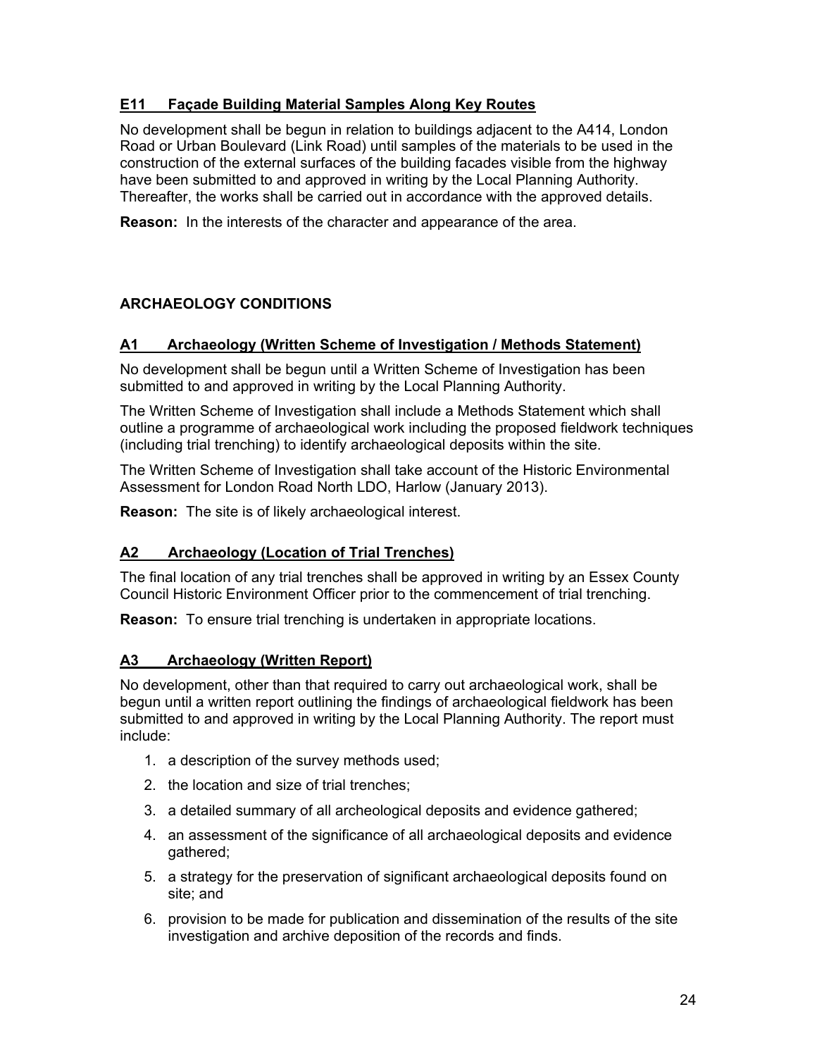# **E11 Façade Building Material Samples Along Key Routes**

No development shall be begun in relation to buildings adjacent to the A414, London Road or Urban Boulevard (Link Road) until samples of the materials to be used in the construction of the external surfaces of the building facades visible from the highway have been submitted to and approved in writing by the Local Planning Authority. Thereafter, the works shall be carried out in accordance with the approved details.

**Reason:** In the interests of the character and appearance of the area.

# **ARCHAEOLOGY CONDITIONS**

# **A1 Archaeology (Written Scheme of Investigation / Methods Statement)**

No development shall be begun until a Written Scheme of Investigation has been submitted to and approved in writing by the Local Planning Authority.

The Written Scheme of Investigation shall include a Methods Statement which shall outline a programme of archaeological work including the proposed fieldwork techniques (including trial trenching) to identify archaeological deposits within the site.

The Written Scheme of Investigation shall take account of the Historic Environmental Assessment for London Road North LDO, Harlow (January 2013).

**Reason:** The site is of likely archaeological interest.

### **A2 Archaeology (Location of Trial Trenches)**

The final location of any trial trenches shall be approved in writing by an Essex County Council Historic Environment Officer prior to the commencement of trial trenching.

**Reason:** To ensure trial trenching is undertaken in appropriate locations.

### **A3 Archaeology (Written Report)**

No development, other than that required to carry out archaeological work, shall be begun until a written report outlining the findings of archaeological fieldwork has been submitted to and approved in writing by the Local Planning Authority. The report must include:

- 1. a description of the survey methods used;
- 2. the location and size of trial trenches;
- 3. a detailed summary of all archeological deposits and evidence gathered;
- 4. an assessment of the significance of all archaeological deposits and evidence gathered;
- 5. a strategy for the preservation of significant archaeological deposits found on site; and
- 6. provision to be made for publication and dissemination of the results of the site investigation and archive deposition of the records and finds.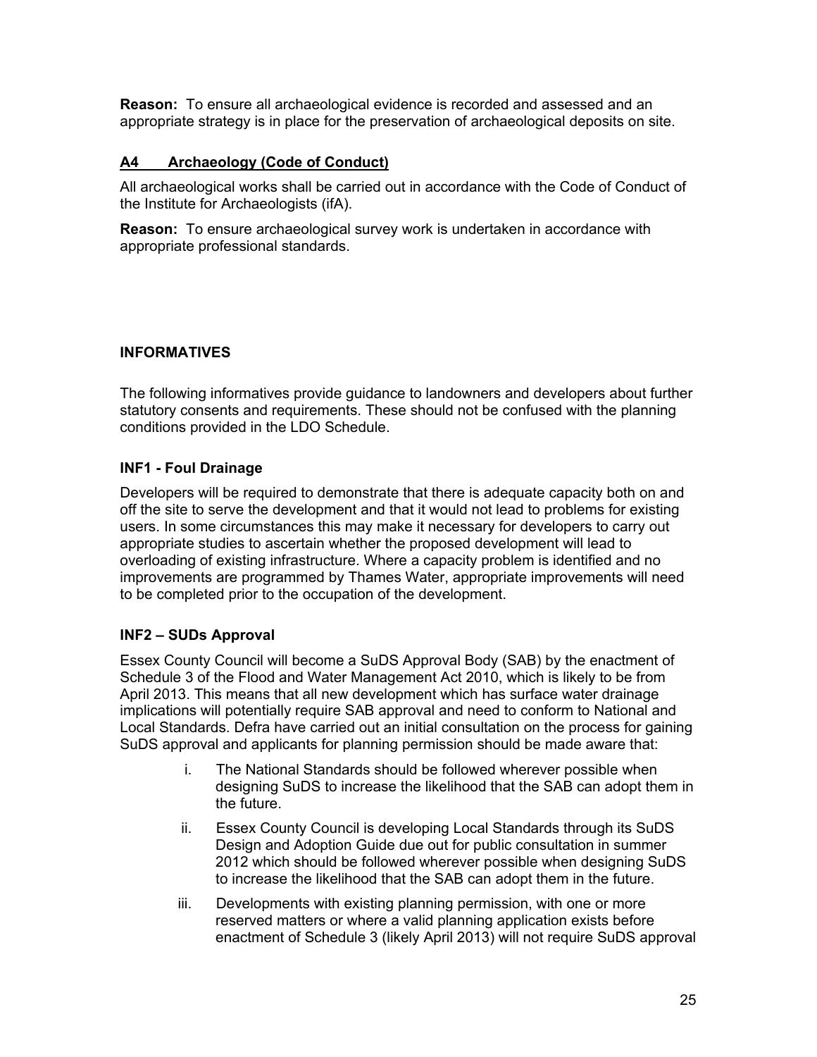**Reason:** To ensure all archaeological evidence is recorded and assessed and an appropriate strategy is in place for the preservation of archaeological deposits on site.

# **A4 Archaeology (Code of Conduct)**

All archaeological works shall be carried out in accordance with the Code of Conduct of the Institute for Archaeologists (ifA).

**Reason:** To ensure archaeological survey work is undertaken in accordance with appropriate professional standards.

# **INFORMATIVES**

The following informatives provide guidance to landowners and developers about further statutory consents and requirements. These should not be confused with the planning conditions provided in the LDO Schedule.

# **INF1 - Foul Drainage**

Developers will be required to demonstrate that there is adequate capacity both on and off the site to serve the development and that it would not lead to problems for existing users. In some circumstances this may make it necessary for developers to carry out appropriate studies to ascertain whether the proposed development will lead to overloading of existing infrastructure. Where a capacity problem is identified and no improvements are programmed by Thames Water, appropriate improvements will need to be completed prior to the occupation of the development.

# **INF2 – SUDs Approval**

Essex County Council will become a SuDS Approval Body (SAB) by the enactment of Schedule 3 of the Flood and Water Management Act 2010, which is likely to be from April 2013. This means that all new development which has surface water drainage implications will potentially require SAB approval and need to conform to National and Local Standards. Defra have carried out an initial consultation on the process for gaining SuDS approval and applicants for planning permission should be made aware that:

- i. The National Standards should be followed wherever possible when designing SuDS to increase the likelihood that the SAB can adopt them in the future.
- ii. Essex County Council is developing Local Standards through its SuDS Design and Adoption Guide due out for public consultation in summer 2012 which should be followed wherever possible when designing SuDS to increase the likelihood that the SAB can adopt them in the future.
- iii. Developments with existing planning permission, with one or more reserved matters or where a valid planning application exists before enactment of Schedule 3 (likely April 2013) will not require SuDS approval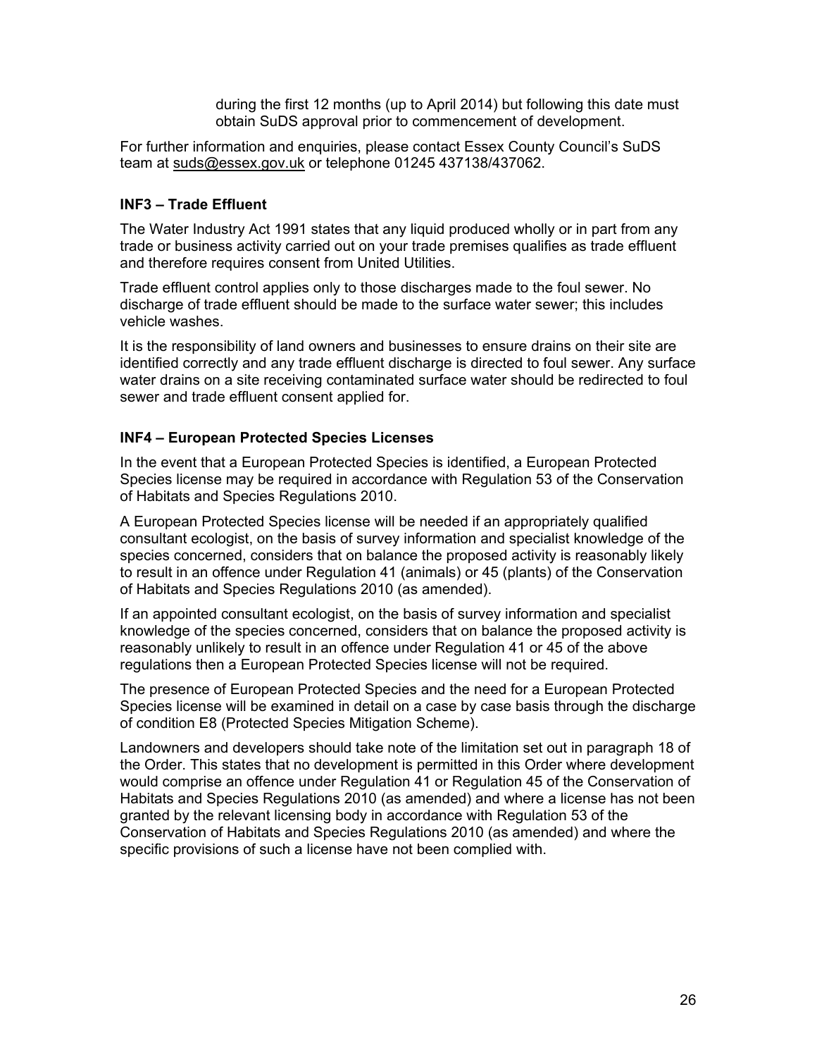during the first 12 months (up to April 2014) but following this date must obtain SuDS approval prior to commencement of development.

For further information and enquiries, please contact Essex County Council's SuDS team at suds@essex.gov.uk or telephone 01245 437138/437062.

### **INF3 – Trade Effluent**

The Water Industry Act 1991 states that any liquid produced wholly or in part from any trade or business activity carried out on your trade premises qualifies as trade effluent and therefore requires consent from United Utilities.

Trade effluent control applies only to those discharges made to the foul sewer. No discharge of trade effluent should be made to the surface water sewer; this includes vehicle washes.

It is the responsibility of land owners and businesses to ensure drains on their site are identified correctly and any trade effluent discharge is directed to foul sewer. Any surface water drains on a site receiving contaminated surface water should be redirected to foul sewer and trade effluent consent applied for.

### **INF4 – European Protected Species Licenses**

In the event that a European Protected Species is identified, a European Protected Species license may be required in accordance with Regulation 53 of the Conservation of Habitats and Species Regulations 2010.

A European Protected Species license will be needed if an appropriately qualified consultant ecologist, on the basis of survey information and specialist knowledge of the species concerned, considers that on balance the proposed activity is reasonably likely to result in an offence under Regulation 41 (animals) or 45 (plants) of the Conservation of Habitats and Species Regulations 2010 (as amended).

If an appointed consultant ecologist, on the basis of survey information and specialist knowledge of the species concerned, considers that on balance the proposed activity is reasonably unlikely to result in an offence under Regulation 41 or 45 of the above regulations then a European Protected Species license will not be required.

The presence of European Protected Species and the need for a European Protected Species license will be examined in detail on a case by case basis through the discharge of condition E8 (Protected Species Mitigation Scheme).

Landowners and developers should take note of the limitation set out in paragraph 18 of the Order. This states that no development is permitted in this Order where development would comprise an offence under Regulation 41 or Regulation 45 of the Conservation of Habitats and Species Regulations 2010 (as amended) and where a license has not been granted by the relevant licensing body in accordance with Regulation 53 of the Conservation of Habitats and Species Regulations 2010 (as amended) and where the specific provisions of such a license have not been complied with.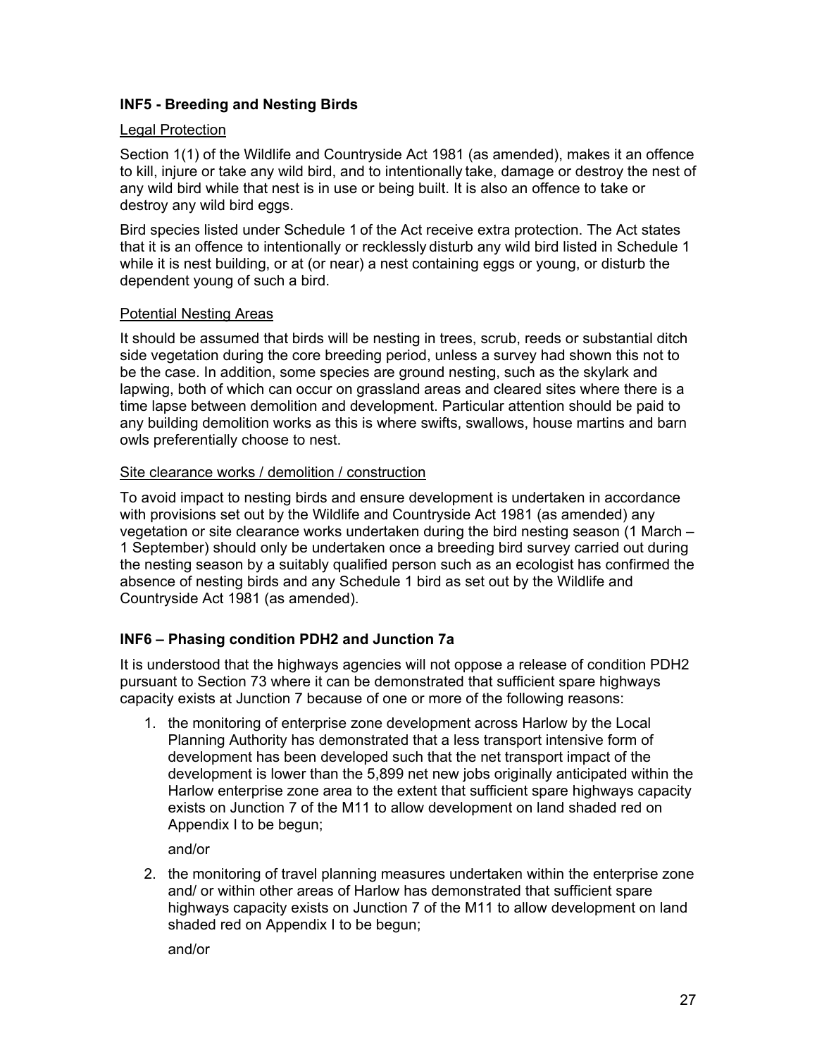# **INF5 - Breeding and Nesting Birds**

### Legal Protection

Section 1(1) of the Wildlife and Countryside Act 1981 (as amended), makes it an offence to kill, injure or take any wild bird, and to intentionally take, damage or destroy the nest of any wild bird while that nest is in use or being built. It is also an offence to take or destroy any wild bird eggs.

Bird species listed under Schedule 1 of the Act receive extra protection. The Act states that it is an offence to intentionally or recklessly disturb any wild bird listed in Schedule 1 while it is nest building, or at (or near) a nest containing eggs or young, or disturb the dependent young of such a bird.

### Potential Nesting Areas

It should be assumed that birds will be nesting in trees, scrub, reeds or substantial ditch side vegetation during the core breeding period, unless a survey had shown this not to be the case. In addition, some species are ground nesting, such as the skylark and lapwing, both of which can occur on grassland areas and cleared sites where there is a time lapse between demolition and development. Particular attention should be paid to any building demolition works as this is where swifts, swallows, house martins and barn owls preferentially choose to nest.

### Site clearance works / demolition / construction

To avoid impact to nesting birds and ensure development is undertaken in accordance with provisions set out by the Wildlife and Countryside Act 1981 (as amended) any vegetation or site clearance works undertaken during the bird nesting season (1 March – 1 September) should only be undertaken once a breeding bird survey carried out during the nesting season by a suitably qualified person such as an ecologist has confirmed the absence of nesting birds and any Schedule 1 bird as set out by the Wildlife and Countryside Act 1981 (as amended).

### **INF6 – Phasing condition PDH2 and Junction 7a**

It is understood that the highways agencies will not oppose a release of condition PDH2 pursuant to Section 73 where it can be demonstrated that sufficient spare highways capacity exists at Junction 7 because of one or more of the following reasons:

1. the monitoring of enterprise zone development across Harlow by the Local Planning Authority has demonstrated that a less transport intensive form of development has been developed such that the net transport impact of the development is lower than the 5,899 net new jobs originally anticipated within the Harlow enterprise zone area to the extent that sufficient spare highways capacity exists on Junction 7 of the M11 to allow development on land shaded red on Appendix I to be begun;

and/or

2. the monitoring of travel planning measures undertaken within the enterprise zone and/ or within other areas of Harlow has demonstrated that sufficient spare highways capacity exists on Junction 7 of the M11 to allow development on land shaded red on Appendix I to be begun;

and/or